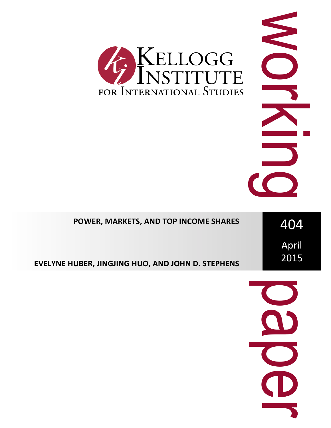

# 404 April 2015 **POWER, MARKETS, AND TOP INCOME SHARES EVELYNE HUBER, JINGJING HUO, AND JOHN D. STEPHENS**

WORCHES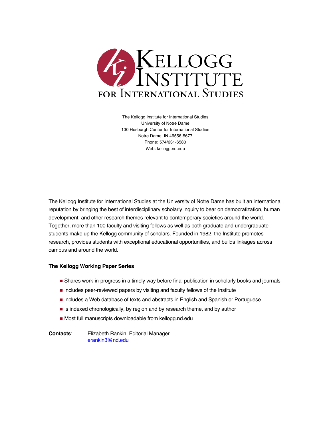

The Kellogg Institute for International Studies University of Notre Dame 130 Hesburgh Center for International Studies Notre Dame, IN 46556-5677 Phone: 574/631-6580 Web: kellogg.nd.edu

The Kellogg Institute for International Studies at the University of Notre Dame has built an international reputation by bringing the best of interdisciplinary scholarly inquiry to bear on democratization, human development, and other research themes relevant to contemporary societies around the world. Together, more than 100 faculty and visiting fellows as well as both graduate and undergraduate students make up the Kellogg community of scholars. Founded in 1982, the Institute promotes research, provides students with exceptional educational opportunities, and builds linkages across campus and around the world.

## **The Kellogg Working Paper Series**:

- **. Shares work-in-progress in a timely way before final publication in scholarly books and journals**
- **Includes peer-reviewed papers by visiting and faculty fellows of the Institute**
- **Includes a Web database of texts and abstracts in English and Spanish or Portuguese**
- **I** is indexed chronologically, by region and by research theme, and by author
- ! Most full manuscripts downloadable from kellogg.nd.edu

**Contacts**: Elizabeth Rankin, Editorial Manager erankin3@nd.edu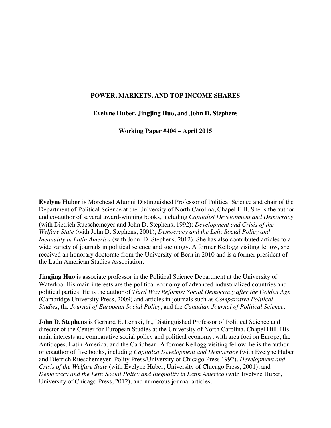# **POWER, MARKETS, AND TOP INCOME SHARES**

**Evelyne Huber, Jingjing Huo, and John D. Stephens**

**Working Paper #404 – April 2015**

**Evelyne Huber** is Morehead Alumni Distinguished Professor of Political Science and chair of the Department of Political Science at the University of North Carolina, Chapel Hill. She is the author and co-author of several award-winning books, including *Capitalist Development and Democracy* (with Dietrich Rueschemeyer and John D. Stephens, 1992); *Development and Crisis of the Welfare State* (with John D. Stephens, 2001); *Democracy and the Left: Social Policy and Inequality in Latin America* (with John. D. Stephens, 2012). She has also contributed articles to a wide variety of journals in political science and sociology. A former Kellogg visiting fellow, she received an honorary doctorate from the University of Bern in 2010 and is a former president of the Latin American Studies Association.

**Jingjing Huo** is associate professor in the Political Science Department at the University of Waterloo. His main interests are the political economy of advanced industrialized countries and political parties. He is the author of *Third Way Reforms: Social Democracy after the Golden Age* (Cambridge University Press, 2009) and articles in journals such as *Comparative Political Studies*, the *Journal of European Social Policy*, and the *Canadian Journal of Political Science*.

**John D. Stephens** is Gerhard E. Lenski, Jr., Distinguished Professor of Political Science and director of the Center for European Studies at the University of North Carolina, Chapel Hill. His main interests are comparative social policy and political economy, with area foci on Europe, the Antidopes, Latin America, and the Caribbean. A former Kellogg visiting fellow, he is the author or coauthor of five books, including *Capitalist Development and Democracy* (with Evelyne Huber and Dietrich Rueschemeyer, Polity Press/University of Chicago Press 1992), *Development and Crisis of the Welfare State* (with Evelyne Huber, University of Chicago Press, 2001), and *Democracy and the Left: Social Policy and Inequality in Latin America* (with Evelyne Huber, University of Chicago Press, 2012), and numerous journal articles.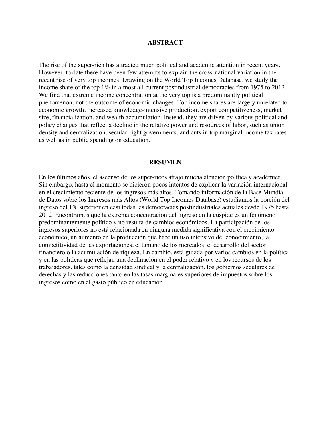## **ABSTRACT**

The rise of the super-rich has attracted much political and academic attention in recent years. However, to date there have been few attempts to explain the cross-national variation in the recent rise of very top incomes. Drawing on the World Top Incomes Database, we study the income share of the top 1% in almost all current postindustrial democracies from 1975 to 2012. We find that extreme income concentration at the very top is a predominantly political phenomenon, not the outcome of economic changes. Top income shares are largely unrelated to economic growth, increased knowledge-intensive production, export competitiveness, market size, financialization, and wealth accumulation. Instead, they are driven by various political and policy changes that reflect a decline in the relative power and resources of labor, such as union density and centralization, secular-right governments, and cuts in top marginal income tax rates as well as in public spending on education.

#### **RESUMEN**

En los últimos años, el ascenso de los super-ricos atrajo mucha atención política y académica. Sin embargo, hasta el momento se hicieron pocos intentos de explicar la variación internacional en el crecimiento reciente de los ingresos más altos. Tomando información de la Base Mundial de Datos sobre los Ingresos más Altos (World Top Incomes Database) estudiamos la porción del ingreso del 1% superior en casi todas las democracias postindustriales actuales desde 1975 hasta 2012. Encontramos que la extrema concentración del ingreso en la cúspide es un fenómeno predominantemente político y no resulta de cambios económicos. La participación de los ingresos superiores no está relacionada en ninguna medida significativa con el crecimiento económico, un aumento en la producción que hace un uso intensivo del conocimiento, la competitividad de las exportaciones, el tamaño de los mercados, el desarrollo del sector financiero o la acumulación de riqueza. En cambio, está guiada por varios cambios en la política y en las políticas que reflejan una declinación en el poder relativo y en los recursos de los trabajadores, tales como la densidad sindical y la centralización, los gobiernos seculares de derechas y las reducciones tanto en las tasas marginales superiores de impuestos sobre los ingresos como en el gasto público en educación.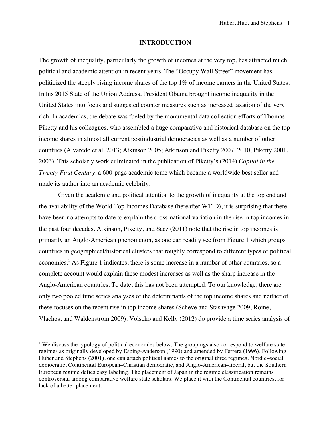#### **INTRODUCTION**

The growth of inequality, particularly the growth of incomes at the very top, has attracted much political and academic attention in recent years. The "Occupy Wall Street" movement has politicized the steeply rising income shares of the top 1% of income earners in the United States. In his 2015 State of the Union Address, President Obama brought income inequality in the United States into focus and suggested counter measures such as increased taxation of the very rich. In academics, the debate was fueled by the monumental data collection efforts of Thomas Piketty and his colleagues, who assembled a huge comparative and historical database on the top income shares in almost all current postindustrial democracies as well as a number of other countries (Alvaredo et al. 2013; Atkinson 2005; Atkinson and Piketty 2007, 2010; Piketty 2001, 2003). This scholarly work culminated in the publication of Piketty's (2014) *Capital in the Twenty-First Century*, a 600-page academic tome which became a worldwide best seller and made its author into an academic celebrity.

Given the academic and political attention to the growth of inequality at the top end and the availability of the World Top Incomes Database (hereafter WTID), it is surprising that there have been no attempts to date to explain the cross-national variation in the rise in top incomes in the past four decades. Atkinson, Piketty, and Saez (2011) note that the rise in top incomes is primarily an Anglo-American phenomenon, as one can readily see from Figure 1 which groups countries in geographical/historical clusters that roughly correspond to different types of political economies.<sup>1</sup> As Figure 1 indicates, there is some increase in a number of other countries, so a complete account would explain these modest increases as well as the sharp increase in the Anglo-American countries. To date, this has not been attempted. To our knowledge, there are only two pooled time series analyses of the determinants of the top income shares and neither of these focuses on the recent rise in top income shares (Scheve and Stasavage 2009; Roine, Vlachos, and Waldenström 2009). Volscho and Kelly (2012) do provide a time series analysis of

1

<sup>&</sup>lt;sup>1</sup> We discuss the typology of political economies below. The groupings also correspond to welfare state regimes as originally developed by Esping-Anderson (1990) and amended by Ferrera (1996). Following Huber and Stephens (2001), one can attach political names to the original three regimes, Nordic–social democratic, Continental European–Christian democratic, and Anglo-American–liberal, but the Southern European regime defies easy labeling. The placement of Japan in the regime classification remains controversial among comparative welfare state scholars. We place it with the Continental countries, for lack of a better placement.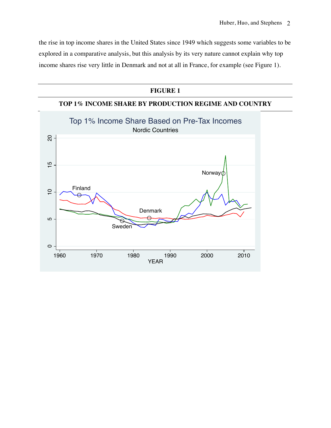the rise in top income shares in the United States since 1949 which suggests some variables to be explored in a comparative analysis, but this analysis by its very nature cannot explain why top income shares rise very little in Denmark and not at all in France, for example (see Figure 1).

# **FIGURE 1**

# **TOP 1% INCOME SHARE BY PRODUCTION REGIME AND COUNTRY**

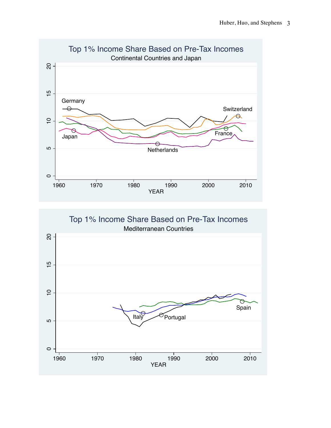

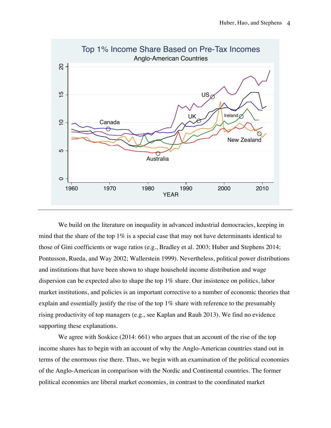

We build on the literature on inequality in advanced industrial democracies, keeping in mind that the share of the top  $1\%$  is a special case that may not have determinants identical to those of Gini coefficients or wage ratios (e.g., Bradley et al. 2003; Huber and Stephens 2014; Pontusson, Rueda, and Way 2002; Wallerstein 1999). Nevertheless, political power distributions and institutions that have been shown to shape household income distribution and wage dispersion can be expected also to shape the top 1% share. Our insistence on politics, labor market institutions, and policies is an important corrective to a number of economic theories that explain and essentially justify the rise of the top 1% share with reference to the presumably rising productivity of top managers (e.g., see Kaplan and Rauh 2013). We find no evidence supporting these explanations.

We agree with Soskice (2014: 661) who argues that an account of the rise of the top income shares has to begin with an account of why the Anglo-American countries stand out in terms of the enormous rise there. Thus, we begin with an examination of the political economies of the Anglo-American in comparison with the Nordic and Continental countries. The former political economies are liberal market economies, in contrast to the coordinated market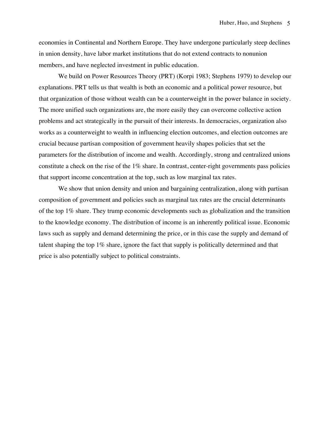economies in Continental and Northern Europe. They have undergone particularly steep declines in union density, have labor market institutions that do not extend contracts to nonunion members, and have neglected investment in public education.

We build on Power Resources Theory (PRT) (Korpi 1983; Stephens 1979) to develop our explanations. PRT tells us that wealth is both an economic and a political power resource, but that organization of those without wealth can be a counterweight in the power balance in society. The more unified such organizations are, the more easily they can overcome collective action problems and act strategically in the pursuit of their interests. In democracies, organization also works as a counterweight to wealth in influencing election outcomes, and election outcomes are crucial because partisan composition of government heavily shapes policies that set the parameters for the distribution of income and wealth. Accordingly, strong and centralized unions constitute a check on the rise of the 1% share. In contrast, center-right governments pass policies that support income concentration at the top, such as low marginal tax rates.

We show that union density and union and bargaining centralization, along with partisan composition of government and policies such as marginal tax rates are the crucial determinants of the top 1% share. They trump economic developments such as globalization and the transition to the knowledge economy. The distribution of income is an inherently political issue. Economic laws such as supply and demand determining the price, or in this case the supply and demand of talent shaping the top 1% share, ignore the fact that supply is politically determined and that price is also potentially subject to political constraints.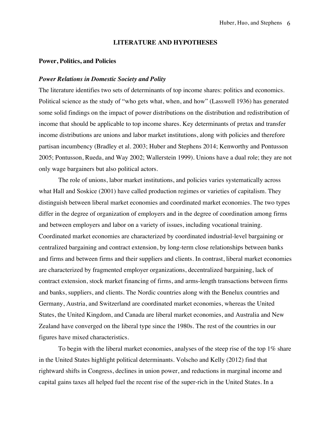## **LITERATURE AND HYPOTHESES**

## **Power, Politics, and Policies**

#### *Power Relations in Domestic Society and Polity*

The literature identifies two sets of determinants of top income shares: politics and economics. Political science as the study of "who gets what, when, and how" (Lasswell 1936) has generated some solid findings on the impact of power distributions on the distribution and redistribution of income that should be applicable to top income shares. Key determinants of pretax and transfer income distributions are unions and labor market institutions, along with policies and therefore partisan incumbency (Bradley et al. 2003; Huber and Stephens 2014; Kenworthy and Pontusson 2005; Pontusson, Rueda, and Way 2002; Wallerstein 1999). Unions have a dual role; they are not only wage bargainers but also political actors.

The role of unions, labor market institutions, and policies varies systematically across what Hall and Soskice (2001) have called production regimes or varieties of capitalism. They distinguish between liberal market economies and coordinated market economies. The two types differ in the degree of organization of employers and in the degree of coordination among firms and between employers and labor on a variety of issues, including vocational training. Coordinated market economies are characterized by coordinated industrial-level bargaining or centralized bargaining and contract extension, by long-term close relationships between banks and firms and between firms and their suppliers and clients. In contrast, liberal market economies are characterized by fragmented employer organizations, decentralized bargaining, lack of contract extension, stock market financing of firms, and arms-length transactions between firms and banks, suppliers, and clients. The Nordic countries along with the Benelux countries and Germany, Austria, and Switzerland are coordinated market economies, whereas the United States, the United Kingdom, and Canada are liberal market economies, and Australia and New Zealand have converged on the liberal type since the 1980s. The rest of the countries in our figures have mixed characteristics.

To begin with the liberal market economies, analyses of the steep rise of the top 1% share in the United States highlight political determinants. Volscho and Kelly (2012) find that rightward shifts in Congress, declines in union power, and reductions in marginal income and capital gains taxes all helped fuel the recent rise of the super-rich in the United States. In a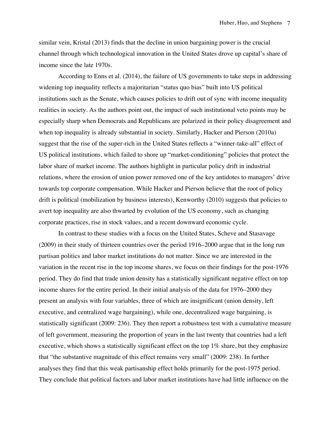similar vein, Kristal (2013) finds that the decline in union bargaining power is the crucial channel through which technological innovation in the United States drove up capital's share of income since the late 1970s.

According to Enns et al. (2014), the failure of US governments to take steps in addressing widening top inequality reflects a majoritarian "status quo bias" built into US political institutions such as the Senate, which causes policies to drift out of sync with income inequality realities in society. As the authors point out, the impact of such institutional veto points may be especially sharp when Democrats and Republicans are polarized in their policy disagreement and when top inequality is already substantial in society. Similarly, Hacker and Pierson (2010a) suggest that the rise of the super-rich in the United States reflects a "winner-take-all" effect of US political institutions, which failed to shore up "market-conditioning" policies that protect the labor share of market income. The authors highlight in particular policy drift in industrial relations, where the erosion of union power removed one of the key antidotes to managers' drive towards top corporate compensation. While Hacker and Pierson believe that the root of policy drift is political (mobilization by business interests), Kenworthy (2010) suggests that policies to avert top inequality are also thwarted by evolution of the US economy, such as changing corporate practices, rise in stock values, and a recent downward economic cycle.

In contrast to these studies with a focus on the United States, Scheve and Stasavage (2009) in their study of thirteen countries over the period 1916–2000 argue that in the long run partisan politics and labor market institutions do not matter. Since we are interested in the variation in the recent rise in the top income shares, we focus on their findings for the post-1976 period. They do find that trade union density has a statistically significant negative effect on top income shares for the entire period. In their initial analysis of the data for 1976–2000 they present an analysis with four variables, three of which are insignificant (union density, left executive, and centralized wage bargaining), while one, decentralized wage bargaining, is statistically significant (2009: 236). They then report a robustness test with a cumulative measure of left government, measuring the proportion of years in the last twenty that countries had a left executive, which shows a statistically significant effect on the top 1% share, but they emphasize that "the substantive magnitude of this effect remains very small" (2009: 238). In further analyses they find that this weak partisanship effect holds primarily for the post-1975 period. They conclude that political factors and labor market institutions have had little influence on the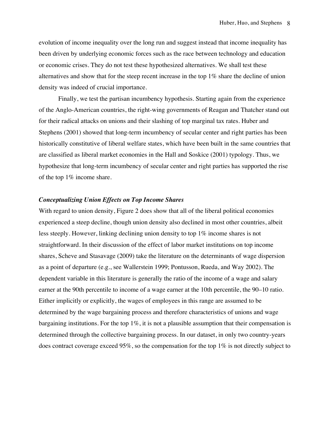evolution of income inequality over the long run and suggest instead that income inequality has been driven by underlying economic forces such as the race between technology and education or economic crises. They do not test these hypothesized alternatives. We shall test these alternatives and show that for the steep recent increase in the top 1% share the decline of union density was indeed of crucial importance.

Finally, we test the partisan incumbency hypothesis. Starting again from the experience of the Anglo-American countries, the right-wing governments of Reagan and Thatcher stand out for their radical attacks on unions and their slashing of top marginal tax rates. Huber and Stephens (2001) showed that long-term incumbency of secular center and right parties has been historically constitutive of liberal welfare states, which have been built in the same countries that are classified as liberal market economies in the Hall and Soskice (2001) typology. Thus, we hypothesize that long-term incumbency of secular center and right parties has supported the rise of the top 1% income share.

#### *Conceptualizing Union Effects on Top Income Shares*

With regard to union density, Figure 2 does show that all of the liberal political economies experienced a steep decline, though union density also declined in most other countries, albeit less steeply. However, linking declining union density to top 1% income shares is not straightforward. In their discussion of the effect of labor market institutions on top income shares, Scheve and Stasavage (2009) take the literature on the determinants of wage dispersion as a point of departure (e.g., see Wallerstein 1999; Pontusson, Rueda, and Way 2002). The dependent variable in this literature is generally the ratio of the income of a wage and salary earner at the 90th percentile to income of a wage earner at the 10th percentile, the 90–10 ratio. Either implicitly or explicitly, the wages of employees in this range are assumed to be determined by the wage bargaining process and therefore characteristics of unions and wage bargaining institutions. For the top 1%, it is not a plausible assumption that their compensation is determined through the collective bargaining process. In our dataset, in only two country-years does contract coverage exceed 95%, so the compensation for the top 1% is not directly subject to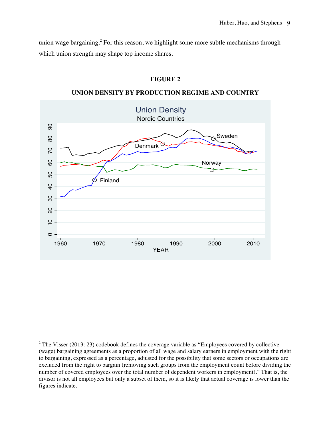union wage bargaining.<sup>2</sup> For this reason, we highlight some more subtle mechanisms through which union strength may shape top income shares.



1

 $2$  The Visser (2013: 23) codebook defines the coverage variable as "Employees covered by collective (wage) bargaining agreements as a proportion of all wage and salary earners in employment with the right to bargaining, expressed as a percentage, adjusted for the possibility that some sectors or occupations are excluded from the right to bargain (removing such groups from the employment count before dividing the number of covered employees over the total number of dependent workers in employment)." That is, the divisor is not all employees but only a subset of them, so it is likely that actual coverage is lower than the figures indicate.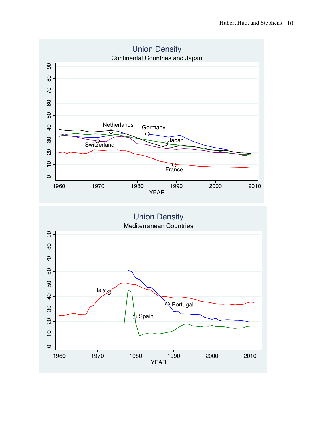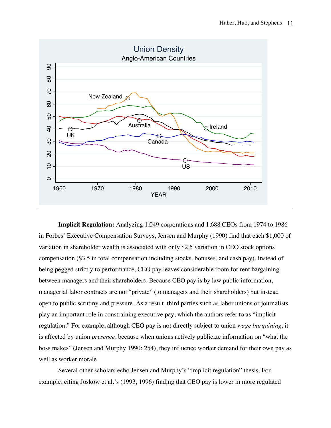

**Implicit Regulation:** Analyzing 1,049 corporations and 1,688 CEOs from 1974 to 1986 in Forbes' Executive Compensation Surveys, Jensen and Murphy (1990) find that each \$1,000 of variation in shareholder wealth is associated with only \$2.5 variation in CEO stock options compensation (\$3.5 in total compensation including stocks, bonuses, and cash pay). Instead of being pegged strictly to performance, CEO pay leaves considerable room for rent bargaining between managers and their shareholders. Because CEO pay is by law public information, managerial labor contracts are not "private" (to managers and their shareholders) but instead open to public scrutiny and pressure. As a result, third parties such as labor unions or journalists play an important role in constraining executive pay, which the authors refer to as "implicit regulation." For example, although CEO pay is not directly subject to union *wage bargaining*, it is affected by union *presence*, because when unions actively publicize information on "what the boss makes" (Jensen and Murphy 1990: 254), they influence worker demand for their own pay as well as worker morale.

Several other scholars echo Jensen and Murphy's "implicit regulation" thesis. For example, citing Joskow et al.'s (1993, 1996) finding that CEO pay is lower in more regulated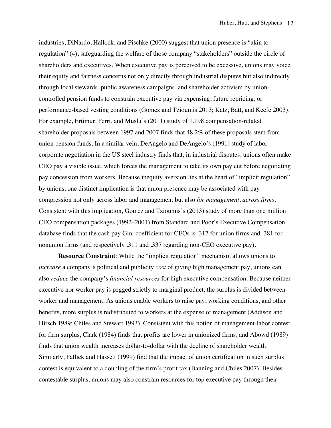industries, DiNardo, Hallock, and Pischke (2000) suggest that union presence is "akin to regulation" (4), safeguarding the welfare of those company "stakeholders" outside the circle of shareholders and executives. When executive pay is perceived to be excessive, unions may voice their equity and fairness concerns not only directly through industrial disputes but also indirectly through local stewards, public awareness campaigns, and shareholder activism by unioncontrolled pension funds to constrain executive pay via expensing, future repricing, or performance-based vesting conditions (Gomez and Tzioumis 2013; Katz, Batt, and Keefe 2003). For example, Ertimur, Ferri, and Muslu's (2011) study of 1,198 compensation-related shareholder proposals between 1997 and 2007 finds that 48.2% of these proposals stem from union pension funds. In a similar vein, DeAngelo and DeAngelo's (1991) study of laborcorporate negotiation in the US steel industry finds that, in industrial disputes, unions often make CEO pay a visible issue, which forces the management to take its own pay cut before negotiating pay concession from workers. Because inequity aversion lies at the heart of "implicit regulation" by unions, one distinct implication is that union presence may be associated with pay compression not only across labor and management but also *for management*, *across firms*. Consistent with this implication, Gomez and Tzioumis's (2013) study of more than one million CEO compensation packages (1992–2001) from Standard and Poor's Executive Compensation database finds that the cash pay Gini coefficient for CEOs is .317 for union firms and .381 for nonunion firms (and respectively .311 and .337 regarding non-CEO executive pay).

**Resource Constraint**: While the "implicit regulation" mechanism allows unions to *increase* a company's political and publicity *cost* of giving high management pay, unions can also *reduce* the company's *financial resources* for high executive compensation. Because neither executive nor worker pay is pegged strictly to marginal product, the surplus is divided between worker and management. As unions enable workers to raise pay, working conditions, and other benefits, more surplus is redistributed to workers at the expense of management (Addison and Hirsch 1989; Chiles and Stewart 1993). Consistent with this notion of management-labor contest for firm surplus, Clark (1984) finds that profits are lower in unionized firms, and Abowd (1989) finds that union wealth increases dollar-to-dollar with the decline of shareholder wealth. Similarly, Fallick and Hassett (1999) find that the impact of union certification in such surplus contest is equivalent to a doubling of the firm's profit tax (Banning and Chiles 2007). Besides contestable surplus, unions may also constrain resources for top executive pay through their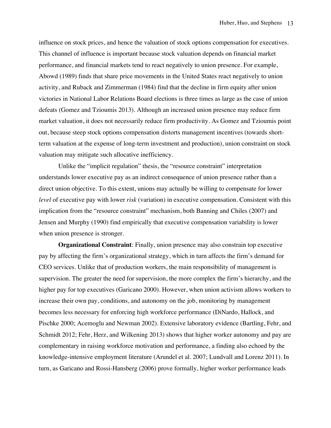influence on stock prices, and hence the valuation of stock options compensation for executives. This channel of influence is important because stock valuation depends on financial market performance, and financial markets tend to react negatively to union presence. For example, Abowd (1989) finds that share price movements in the United States react negatively to union activity, and Ruback and Zimmerman (1984) find that the decline in firm equity after union victories in National Labor Relations Board elections is three times as large as the case of union defeats (Gomez and Tzioumis 2013). Although an increased union presence may reduce firm market valuation, it does not necessarily reduce firm productivity. As Gomez and Tzioumis point out, because steep stock options compensation distorts management incentives (towards shortterm valuation at the expense of long-term investment and production), union constraint on stock valuation may mitigate such allocative inefficiency.

Unlike the "implicit regulation" thesis, the "resource constraint" interpretation understands lower executive pay as an indirect consequence of union presence rather than a direct union objective. To this extent, unions may actually be willing to compensate for lower *level* of executive pay with lower *risk* (variation) in executive compensation. Consistent with this implication from the "resource constraint" mechanism, both Banning and Chiles (2007) and Jensen and Murphy (1990) find empirically that executive compensation variability is lower when union presence is stronger.

**Organizational Constraint**: Finally, union presence may also constrain top executive pay by affecting the firm's organizational strategy, which in turn affects the firm's demand for CEO services. Unlike that of production workers, the main responsibility of management is supervision. The greater the need for supervision, the more complex the firm's hierarchy, and the higher pay for top executives (Garicano 2000). However, when union activism allows workers to increase their own pay, conditions, and autonomy on the job, monitoring by management becomes less necessary for enforcing high workforce performance (DiNardo, Hallock, and Pischke 2000; Acemoglu and Newman 2002). Extensive laboratory evidence (Bartling, Fehr, and Schmidt 2012; Fehr, Herz, and Wilkening 2013) shows that higher worker autonomy and pay are complementary in raising workforce motivation and performance, a finding also echoed by the knowledge-intensive employment literature (Arundel et al. 2007; Lundvall and Lorenz 2011). In turn, as Garicano and Rossi-Hansberg (2006) prove formally, higher worker performance leads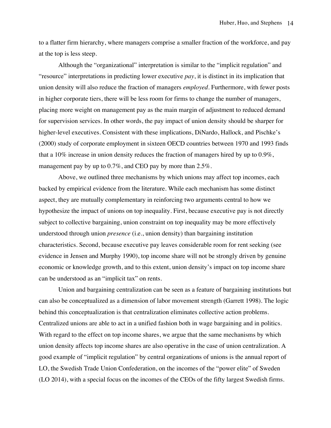to a flatter firm hierarchy, where managers comprise a smaller fraction of the workforce, and pay at the top is less steep.

Although the "organizational" interpretation is similar to the "implicit regulation" and "resource" interpretations in predicting lower executive *pay*, it is distinct in its implication that union density will also reduce the fraction of managers *employed*. Furthermore, with fewer posts in higher corporate tiers, there will be less room for firms to change the number of managers, placing more weight on management pay as the main margin of adjustment to reduced demand for supervision services. In other words, the pay impact of union density should be sharper for higher-level executives. Consistent with these implications, DiNardo, Hallock, and Pischke's (2000) study of corporate employment in sixteen OECD countries between 1970 and 1993 finds that a 10% increase in union density reduces the fraction of managers hired by up to 0.9%, management pay by up to  $0.7\%$ , and CEO pay by more than 2.5%.

Above, we outlined three mechanisms by which unions may affect top incomes, each backed by empirical evidence from the literature. While each mechanism has some distinct aspect, they are mutually complementary in reinforcing two arguments central to how we hypothesize the impact of unions on top inequality. First, because executive pay is not directly subject to collective bargaining, union constraint on top inequality may be more effectively understood through union *presence* (i.e., union density) than bargaining institution characteristics. Second, because executive pay leaves considerable room for rent seeking (see evidence in Jensen and Murphy 1990), top income share will not be strongly driven by genuine economic or knowledge growth, and to this extent, union density's impact on top income share can be understood as an "implicit tax" on rents.

Union and bargaining centralization can be seen as a feature of bargaining institutions but can also be conceptualized as a dimension of labor movement strength (Garrett 1998). The logic behind this conceptualization is that centralization eliminates collective action problems. Centralized unions are able to act in a unified fashion both in wage bargaining and in politics. With regard to the effect on top income shares, we argue that the same mechanisms by which union density affects top income shares are also operative in the case of union centralization. A good example of "implicit regulation" by central organizations of unions is the annual report of LO, the Swedish Trade Union Confederation, on the incomes of the "power elite" of Sweden (LO 2014), with a special focus on the incomes of the CEOs of the fifty largest Swedish firms.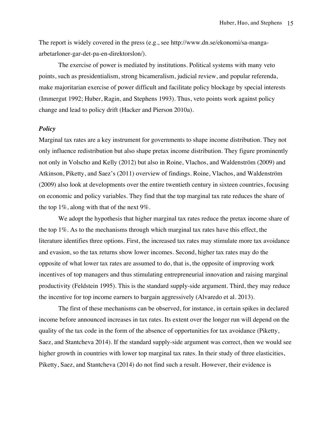The report is widely covered in the press (e.g., see http://www.dn.se/ekonomi/sa-mangaarbetarloner-gar-det-pa-en-direktorslon/).

The exercise of power is mediated by institutions. Political systems with many veto points, such as presidentialism, strong bicameralism, judicial review, and popular referenda, make majoritarian exercise of power difficult and facilitate policy blockage by special interests (Immergut 1992; Huber, Ragin, and Stephens 1993). Thus, veto points work against policy change and lead to policy drift (Hacker and Pierson 2010a).

## *Policy*

Marginal tax rates are a key instrument for governments to shape income distribution. They not only influence redistribution but also shape pretax income distribution. They figure prominently not only in Volscho and Kelly (2012) but also in Roine, Vlachos, and Waldenström (2009) and Atkinson, Piketty, and Saez's (2011) overview of findings. Roine, Vlachos, and Waldenström (2009) also look at developments over the entire twentieth century in sixteen countries, focusing on economic and policy variables. They find that the top marginal tax rate reduces the share of the top  $1\%$ , along with that of the next  $9\%$ .

We adopt the hypothesis that higher marginal tax rates reduce the pretax income share of the top 1%. As to the mechanisms through which marginal tax rates have this effect, the literature identifies three options. First, the increased tax rates may stimulate more tax avoidance and evasion, so the tax returns show lower incomes. Second, higher tax rates may do the opposite of what lower tax rates are assumed to do, that is, the opposite of improving work incentives of top managers and thus stimulating entrepreneurial innovation and raising marginal productivity (Feldstein 1995). This is the standard supply-side argument. Third, they may reduce the incentive for top income earners to bargain aggressively (Alvaredo et al. 2013).

The first of these mechanisms can be observed, for instance, in certain spikes in declared income before announced increases in tax rates. Its extent over the longer run will depend on the quality of the tax code in the form of the absence of opportunities for tax avoidance (Piketty, Saez, and Stantcheva 2014). If the standard supply-side argument was correct, then we would see higher growth in countries with lower top marginal tax rates. In their study of three elasticities, Piketty, Saez, and Stantcheva (2014) do not find such a result. However, their evidence is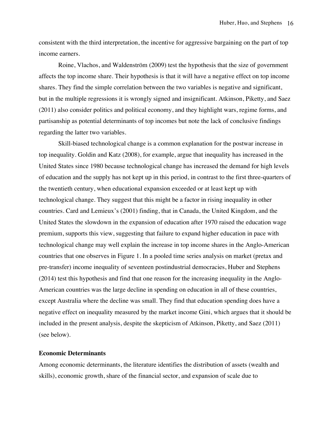consistent with the third interpretation, the incentive for aggressive bargaining on the part of top income earners.

Roine, Vlachos, and Waldenström (2009) test the hypothesis that the size of government affects the top income share. Their hypothesis is that it will have a negative effect on top income shares. They find the simple correlation between the two variables is negative and significant, but in the multiple regressions it is wrongly signed and insignificant. Atkinson, Piketty, and Saez (2011) also consider politics and political economy, and they highlight wars, regime forms, and partisanship as potential determinants of top incomes but note the lack of conclusive findings regarding the latter two variables.

Skill-biased technological change is a common explanation for the postwar increase in top inequality. Goldin and Katz (2008), for example, argue that inequality has increased in the United States since 1980 because technological change has increased the demand for high levels of education and the supply has not kept up in this period, in contrast to the first three-quarters of the twentieth century, when educational expansion exceeded or at least kept up with technological change. They suggest that this might be a factor in rising inequality in other countries. Card and Lemieux's (2001) finding, that in Canada, the United Kingdom, and the United States the slowdown in the expansion of education after 1970 raised the education wage premium, supports this view, suggesting that failure to expand higher education in pace with technological change may well explain the increase in top income shares in the Anglo-American countries that one observes in Figure 1. In a pooled time series analysis on market (pretax and pre-transfer) income inequality of seventeen postindustrial democracies, Huber and Stephens (2014) test this hypothesis and find that one reason for the increasing inequality in the Anglo-American countries was the large decline in spending on education in all of these countries, except Australia where the decline was small. They find that education spending does have a negative effect on inequality measured by the market income Gini, which argues that it should be included in the present analysis, despite the skepticism of Atkinson, Piketty, and Saez (2011) (see below).

## **Economic Determinants**

Among economic determinants, the literature identifies the distribution of assets (wealth and skills), economic growth, share of the financial sector, and expansion of scale due to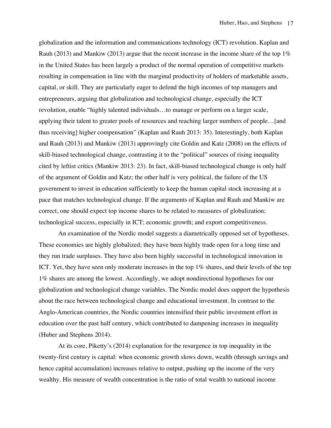globalization and the information and communications technology (ICT) revolution. Kaplan and Rauh (2013) and Mankiw (2013) argue that the recent increase in the income share of the top  $1\%$ in the United States has been largely a product of the normal operation of competitive markets resulting in compensation in line with the marginal productivity of holders of marketable assets, capital, or skill. They are particularly eager to defend the high incomes of top managers and entrepreneurs, arguing that globalization and technological change, especially the ICT revolution, enable "highly talented individuals…to manage or perform on a larger scale, applying their talent to greater pools of resources and reaching larger numbers of people…[and thus receiving] higher compensation" (Kaplan and Rauh 2013: 35). Interestingly, both Kaplan and Rauh (2013) and Mankiw (2013) approvingly cite Goldin and Katz (2008) on the effects of skill-biased technological change, contrasting it to the "political" sources of rising inequality cited by leftist critics (Mankiw 2013: 23). In fact, skill-biased technological change is only half of the argument of Goldin and Katz; the other half is very political, the failure of the US government to invest in education sufficiently to keep the human capital stock increasing at a pace that matches technological change. If the arguments of Kaplan and Rauh and Mankiw are correct, one should expect top income shares to be related to measures of globalization; technological success, especially in ICT; economic growth; and export competitiveness.

An examination of the Nordic model suggests a diametrically opposed set of hypotheses. These economies are highly globalized; they have been highly trade open for a long time and they run trade surpluses. They have also been highly successful in technological innovation in ICT. Yet, they have seen only moderate increases in the top 1% shares, and their levels of the top 1% shares are among the lowest. Accordingly, we adopt nondirectional hypotheses for our globalization and technological change variables. The Nordic model does support the hypothesis about the race between technological change and educational investment. In contrast to the Anglo-American countries, the Nordic countries intensified their public investment effort in education over the past half century, which contributed to dampening increases in inequality (Huber and Stephens 2014).

At its core, Piketty's (2014) explanation for the resurgence in top inequality in the twenty-first century is capital: when economic growth slows down, wealth (through savings and hence capital accumulation) increases relative to output, pushing up the income of the very wealthy. His measure of wealth concentration is the ratio of total wealth to national income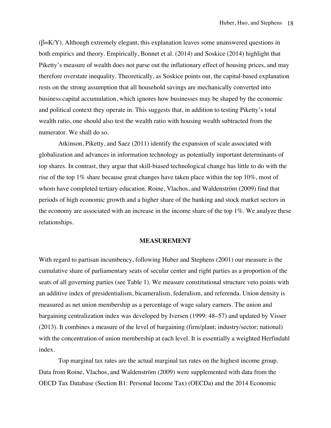$(\beta=K/Y)$ . Although extremely elegant, this explanation leaves some unanswered questions in both empirics and theory. Empirically, Bonnet et al. (2014) and Soskice (2014) highlight that Piketty's measure of wealth does not parse out the inflationary effect of housing prices, and may therefore overstate inequality. Theoretically, as Soskice points out, the capital-based explanation rests on the strong assumption that all household savings are mechanically converted into business capital accumulation, which ignores how businesses may be shaped by the economic and political context they operate in. This suggests that, in addition to testing Piketty's total wealth ratio, one should also test the wealth ratio with housing wealth subtracted from the numerator. We shall do so.

Atkinson, Piketty, and Saez (2011) identify the expansion of scale associated with globalization and advances in information technology as potentially important determinants of top shares. In contrast, they argue that skill-biased technological change has little to do with the rise of the top 1% share because great changes have taken place within the top 10%, most of whom have completed tertiary education. Roine, Vlachos, and Waldenström (2009) find that periods of high economic growth and a higher share of the banking and stock market sectors in the economy are associated with an increase in the income share of the top 1%. We analyze these relationships.

#### **MEASUREMENT**

With regard to partisan incumbency, following Huber and Stephens (2001) our measure is the cumulative share of parliamentary seats of secular center and right parties as a proportion of the seats of all governing parties (see Table 1). We measure constitutional structure veto points with an additive index of presidentialism, bicameralism, federalism, and referenda. Union density is measured as net union membership as a percentage of wage salary earners. The union and bargaining centralization index was developed by Iversen (1999: 48–57) and updated by Visser (2013). It combines a measure of the level of bargaining (firm/plant; industry/sector; national) with the concentration of union membership at each level. It is essentially a weighted Herfindahl index.

Top marginal tax rates are the actual marginal tax rates on the highest income group. Data from Roine, Vlachos, and Waldenström (2009) were supplemented with data from the OECD Tax Database (Section B1: Personal Income Tax) (OECDa) and the 2014 Economic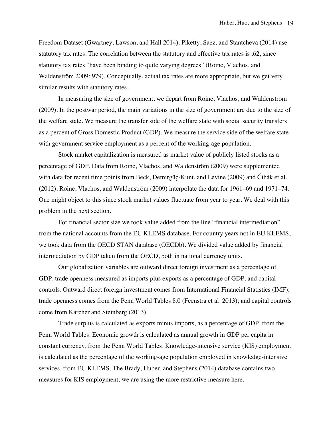Freedom Dataset (Gwartney, Lawson, and Hall 2014). Piketty, Saez, and Stantcheva (2014) use statutory tax rates. The correlation between the statutory and effective tax rates is .62, since statutory tax rates "have been binding to quite varying degrees" (Roine, Vlachos, and Waldenström 2009: 979). Conceptually, actual tax rates are more appropriate, but we get very similar results with statutory rates.

In measuring the size of government, we depart from Roine, Vlachos, and Waldenström (2009). In the postwar period, the main variations in the size of government are due to the size of the welfare state. We measure the transfer side of the welfare state with social security transfers as a percent of Gross Domestic Product (GDP). We measure the service side of the welfare state with government service employment as a percent of the working-age population.

Stock market capitalization is measured as market value of publicly listed stocks as a percentage of GDP. Data from Roine, Vlachos, and Waldenström (2009) were supplemented with data for recent time points from Beck, Demirgüç-Kunt, and Levine (2009) and Čihák et al. (2012). Roine, Vlachos, and Waldenström (2009) interpolate the data for 1961–69 and 1971–74. One might object to this since stock market values fluctuate from year to year. We deal with this problem in the next section.

For financial sector size we took value added from the line "financial intermediation" from the national accounts from the EU KLEMS database. For country years not in EU KLEMS, we took data from the OECD STAN database (OECDb). We divided value added by financial intermediation by GDP taken from the OECD, both in national currency units.

Our globalization variables are outward direct foreign investment as a percentage of GDP, trade openness measured as imports plus exports as a percentage of GDP, and capital controls. Outward direct foreign investment comes from International Financial Statistics (IMF); trade openness comes from the Penn World Tables 8.0 (Feenstra et al. 2013); and capital controls come from Karcher and Steinberg (2013).

Trade surplus is calculated as exports minus imports, as a percentage of GDP, from the Penn World Tables. Economic growth is calculated as annual growth in GDP per capita in constant currency, from the Penn World Tables. Knowledge-intensive service (KIS) employment is calculated as the percentage of the working-age population employed in knowledge-intensive services, from EU KLEMS. The Brady, Huber, and Stephens (2014) database contains two measures for KIS employment; we are using the more restrictive measure here.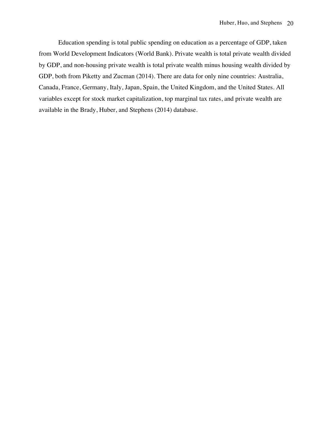Education spending is total public spending on education as a percentage of GDP, taken from World Development Indicators (World Bank). Private wealth is total private wealth divided by GDP, and non-housing private wealth is total private wealth minus housing wealth divided by GDP, both from Piketty and Zucman (2014). There are data for only nine countries: Australia, Canada, France, Germany, Italy, Japan, Spain, the United Kingdom, and the United States. All variables except for stock market capitalization, top marginal tax rates, and private wealth are available in the Brady, Huber, and Stephens (2014) database.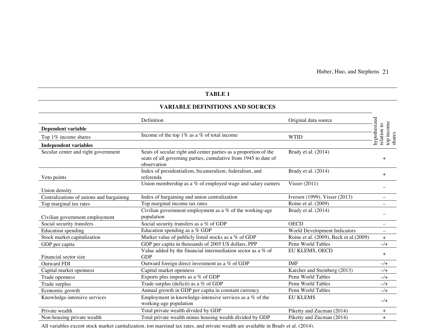Huber, Huo, and Stephens 21

# **TABLE 1**

## **VARIABLE DEFINITIONS AND SOURCES**

|                                          | Definition                                                                                                                                         | Original data source                   |                                                     |
|------------------------------------------|----------------------------------------------------------------------------------------------------------------------------------------------------|----------------------------------------|-----------------------------------------------------|
| Dependent variable                       |                                                                                                                                                    |                                        |                                                     |
| Top 1% income shares                     | Income of the top $1\%$ as a % of total income                                                                                                     | <b>WTID</b>                            | hypothesized<br>top income<br>shares<br>relation to |
| <b>Independent variables</b>             |                                                                                                                                                    |                                        |                                                     |
| Secular center and right government      | Seats of secular right and center parties as a proportion of the<br>seats of all governing parties, cumulative from 1945 to date of<br>observation | Brady et al. $(2014)$                  | $+$                                                 |
| Veto points                              | Index of presidentialism, bicameralism, federalism, and<br>referenda                                                                               | Brady et al. (2014)                    | $^{+}$                                              |
| Union density                            | Union membership as a $%$ of employed wage and salary earners                                                                                      | Visser $(2011)$                        |                                                     |
| Centralizations of unions and bargaining | Index of bargaining and union centralization                                                                                                       | Iversen (1999), Visser (2013)          | $\overline{\phantom{0}}$                            |
| Top marginal tax rates                   | Top marginal income tax rates                                                                                                                      | Roine et al. (2009)                    |                                                     |
| Civilian government employment           | Civilian government employment as a $%$ of the working-age<br>population                                                                           | Brady et al. (2014)                    |                                                     |
| Social security transfers                | Social security transfers as a % of GDP                                                                                                            | <b>OECD</b>                            |                                                     |
| <b>Education</b> spending                | Education spending as a $%$ GDP                                                                                                                    | World Development Indicators           | $\overline{\phantom{m}}$                            |
| Stock market capitalization              | Market value of publicly listed stocks as a % of GDP                                                                                               | Roine et al. (2009), Beck et al.(2009) | $+$                                                 |
| GDP per capita                           | GDP per capita in thousands of 2005 US dollars, PPP                                                                                                | Penn World Tables                      | $-/+$                                               |
| Financial sector size                    | Value added by the financial intermediation sector as a $%$ of<br><b>GDP</b>                                                                       | EU KLEMS, OECD                         | $+$                                                 |
| <b>Outward FDI</b>                       | Outward foreign direct investment as a % of GDP                                                                                                    | <b>IMF</b>                             | $-/+$                                               |
| Capital market openness                  | Capital market openness                                                                                                                            | Karcher and Steinberg (2013)           | $-\sqrt{+}$                                         |
| Trade openness                           | Exports plus imports as a % of GDP                                                                                                                 | Penn World Tables                      | $-\sqrt{+}$                                         |
| Trade surplus                            | Trade surplus (deficit) as a % of GDP                                                                                                              | Penn World Tables                      | $-\sqrt{+}$                                         |
| Economic growth                          | Annual growth in GDP per capita in constant currency                                                                                               | Penn World Tables                      | $-\sqrt{+}$                                         |
| Knowledge-intensive services             | Employment in knowledge-intensive services as a $%$ of the<br>working-age population                                                               | <b>EU KLEMS</b>                        | $-\sqrt{+}$                                         |
| Private wealth                           | Total private wealth divided by GDP                                                                                                                | Piketty and Zucman (2014)              | $^{+}$                                              |
| Non-housing private wealth               | Total private wealth minus housing wealth divided by GDP                                                                                           | Piketty and Zucman (2014)              | $+$                                                 |

All variables except stock market capitalization, top marginal tax rates, and private wealth are available in Brady et al. (2014).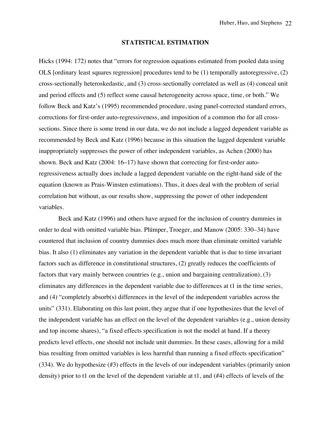#### **STATISTICAL ESTIMATION**

Hicks (1994: 172) notes that "errors for regression equations estimated from pooled data using OLS [ordinary least squares regression] procedures tend to be (1) temporally autoregressive, (2) cross-sectionally heteroskedastic, and (3) cross-sectionally correlated as well as (4) conceal unit and period effects and (5) reflect some causal heterogeneity across space, time, or both." We follow Beck and Katz's (1995) recommended procedure, using panel-corrected standard errors, corrections for first-order auto-regressiveness, and imposition of a common rho for all crosssections. Since there is some trend in our data, we do not include a lagged dependent variable as recommended by Beck and Katz (1996) because in this situation the lagged dependent variable inappropriately suppresses the power of other independent variables, as Achen (2000) has shown. Beck and Katz (2004: 16–17) have shown that correcting for first-order autoregressiveness actually does include a lagged dependent variable on the right-hand side of the equation (known as Prais-Winsten estimations). Thus, it does deal with the problem of serial correlation but without, as our results show, suppressing the power of other independent variables.

Beck and Katz (1996) and others have argued for the inclusion of country dummies in order to deal with omitted variable bias. Plümper, Troeger, and Manow (2005: 330–34) have countered that inclusion of country dummies does much more than eliminate omitted variable bias. It also (1) eliminates any variation in the dependent variable that is due to time invariant factors such as difference in constitutional structures, (2) greatly reduces the coefficients of factors that vary mainly between countries (e.g., union and bargaining centralization), (3) eliminates any differences in the dependent variable due to differences at t1 in the time series, and (4) "completely absorb(s) differences in the level of the independent variables across the units" (331). Elaborating on this last point, they argue that if one hypothesizes that the level of the independent variable has an effect on the level of the dependent variables (e.g., union density and top income shares), "a fixed effects specification is not the model at hand. If a theory predicts level effects, one should not include unit dummies. In these cases, allowing for a mild bias resulting from omitted variables is less harmful than running a fixed effects specification" (334). We do hypothesize (#3) effects in the levels of our independent variables (primarily union density) prior to t1 on the level of the dependent variable at t1, and (#4) effects of levels of the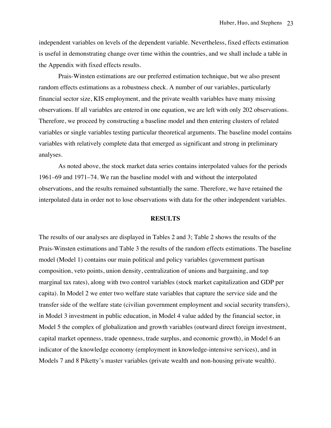independent variables on levels of the dependent variable. Nevertheless, fixed effects estimation is useful in demonstrating change over time within the countries, and we shall include a table in the Appendix with fixed effects results.

Prais-Winsten estimations are our preferred estimation technique, but we also present random effects estimations as a robustness check. A number of our variables, particularly financial sector size, KIS employment, and the private wealth variables have many missing observations. If all variables are entered in one equation, we are left with only 202 observations. Therefore, we proceed by constructing a baseline model and then entering clusters of related variables or single variables testing particular theoretical arguments. The baseline model contains variables with relatively complete data that emerged as significant and strong in preliminary analyses.

As noted above, the stock market data series contains interpolated values for the periods 1961–69 and 1971–74. We ran the baseline model with and without the interpolated observations, and the results remained substantially the same. Therefore, we have retained the interpolated data in order not to lose observations with data for the other independent variables.

## **RESULTS**

The results of our analyses are displayed in Tables 2 and 3; Table 2 shows the results of the Prais-Winsten estimations and Table 3 the results of the random effects estimations. The baseline model (Model 1) contains our main political and policy variables (government partisan composition, veto points, union density, centralization of unions and bargaining, and top marginal tax rates), along with two control variables (stock market capitalization and GDP per capita). In Model 2 we enter two welfare state variables that capture the service side and the transfer side of the welfare state (civilian government employment and social security transfers), in Model 3 investment in public education, in Model 4 value added by the financial sector, in Model 5 the complex of globalization and growth variables (outward direct foreign investment, capital market openness, trade openness, trade surplus, and economic growth), in Model 6 an indicator of the knowledge economy (employment in knowledge-intensive services), and in Models 7 and 8 Piketty's master variables (private wealth and non-housing private wealth).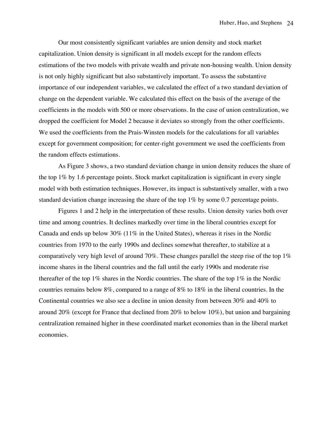Our most consistently significant variables are union density and stock market capitalization. Union density is significant in all models except for the random effects estimations of the two models with private wealth and private non-housing wealth. Union density is not only highly significant but also substantively important. To assess the substantive importance of our independent variables, we calculated the effect of a two standard deviation of change on the dependent variable. We calculated this effect on the basis of the average of the coefficients in the models with 500 or more observations. In the case of union centralization, we dropped the coefficient for Model 2 because it deviates so strongly from the other coefficients. We used the coefficients from the Prais-Winsten models for the calculations for all variables except for government composition; for center-right government we used the coefficients from the random effects estimations.

As Figure 3 shows, a two standard deviation change in union density reduces the share of the top 1% by 1.6 percentage points. Stock market capitalization is significant in every single model with both estimation techniques. However, its impact is substantively smaller, with a two standard deviation change increasing the share of the top 1% by some 0.7 percentage points.

Figures 1 and 2 help in the interpretation of these results. Union density varies both over time and among countries. It declines markedly over time in the liberal countries except for Canada and ends up below 30% (11% in the United States), whereas it rises in the Nordic countries from 1970 to the early 1990s and declines somewhat thereafter, to stabilize at a comparatively very high level of around 70%. These changes parallel the steep rise of the top 1% income shares in the liberal countries and the fall until the early 1990s and moderate rise thereafter of the top 1% shares in the Nordic countries. The share of the top 1% in the Nordic countries remains below 8%, compared to a range of 8% to 18% in the liberal countries. In the Continental countries we also see a decline in union density from between 30% and 40% to around 20% (except for France that declined from 20% to below 10%), but union and bargaining centralization remained higher in these coordinated market economies than in the liberal market economies.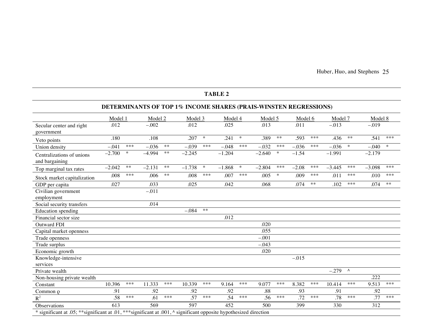Huber, Huo, and Stephens 25

# **TABLE 2**

# **DETERMINANTS OF TOP 1% INCOME SHARES (PRAIS-WINSTEN REGRESSIONS)**

|                                                                                                                     | Model 1  |        | Model 2  |            | Model 3  |            | Model 4  |        | Model 5  |            | Model 6 |       | Model 7  |           | Model 8  |            |
|---------------------------------------------------------------------------------------------------------------------|----------|--------|----------|------------|----------|------------|----------|--------|----------|------------|---------|-------|----------|-----------|----------|------------|
| Secular center and right<br>government                                                                              | .012     |        | $-.002$  |            | .012     |            | .025     |        | .013     |            | .011    |       | $-.013$  |           | $-.019$  |            |
| Veto points                                                                                                         | .180     |        | .108     |            | .207     | $\ast$     | .241     | $\ast$ | .389     | $\ast\ast$ | .593    | ***   | .436     | $**$      | .541     | ***        |
| Union density                                                                                                       | $-.041$  | ***    | $-.036$  | $***$      | $-.039$  | ***        | $-.048$  | ***    | $-.032$  | ***        | $-.036$ | ***   | $-.036$  | $\ast$    | $-.040$  | $\ast$     |
| Centralizations of unions<br>and bargaining                                                                         | $-2.700$ | $\ast$ | $-4.994$ | $\ast\ast$ | $-2.245$ |            | $-1.204$ |        | $-2.640$ | $\ast$     | $-1.54$ |       | $-1.991$ |           | $-2.179$ |            |
| Top marginal tax rates                                                                                              | $-2.042$ | $***$  | $-2.131$ | $***$      | $-1.738$ | $\ast$     | $-1.868$ | $\ast$ | $-2.804$ | ***        | $-2.08$ | ***   | $-3.445$ | $***$     | $-3.098$ | ***        |
| Stock market capitalization                                                                                         | .008     | ***    | .006     | $\ast\ast$ | .008     | ***        | .007     | ***    | .005     | $\ast$     | .009    | ***   | .011     | $***$     | .010     | ***        |
| GDP per capita                                                                                                      | .027     |        | .033     |            | .025     |            | .042     |        | .068     |            | .074    | $***$ | .102     | $***$     | .074     | $\ast\ast$ |
| Civilian government<br>employment                                                                                   |          |        | $-.011$  |            |          |            |          |        |          |            |         |       |          |           |          |            |
| Social security transfers                                                                                           |          |        | .014     |            |          |            |          |        |          |            |         |       |          |           |          |            |
| <b>Education</b> spending                                                                                           |          |        |          |            | $-.084$  | $\ast\ast$ |          |        |          |            |         |       |          |           |          |            |
| Financial sector size                                                                                               |          |        |          |            |          |            | .012     |        |          |            |         |       |          |           |          |            |
| <b>Outward FDI</b>                                                                                                  |          |        |          |            |          |            |          |        | .020     |            |         |       |          |           |          |            |
| Capital market openness                                                                                             |          |        |          |            |          |            |          |        | .055     |            |         |       |          |           |          |            |
| Trade openness                                                                                                      |          |        |          |            |          |            |          |        | $-.001$  |            |         |       |          |           |          |            |
| Trade surplus                                                                                                       |          |        |          |            |          |            |          |        | $-.043$  |            |         |       |          |           |          |            |
| Economic growth                                                                                                     |          |        |          |            |          |            |          |        | .020     |            |         |       |          |           |          |            |
| Knowledge-intensive                                                                                                 |          |        |          |            |          |            |          |        |          |            | $-.015$ |       |          |           |          |            |
| services                                                                                                            |          |        |          |            |          |            |          |        |          |            |         |       |          |           |          |            |
| Private wealth                                                                                                      |          |        |          |            |          |            |          |        |          |            |         |       | $-.279$  | $\Lambda$ |          |            |
| Non-housing private wealth                                                                                          |          |        |          |            |          |            |          |        |          |            |         |       |          |           | .222     |            |
| Constant                                                                                                            | 10.396   | ***    | 11.333   | ***        | 10.339   | ***        | 9.164    | ***    | 9.077    | ***        | 8.382   | ***   | 10.414   | ***       | 9.513    | ***        |
| Common Q                                                                                                            | .91      |        | .92      |            | .92      |            | .92      |        | .88      |            | .93     |       | .91      |           | .92      |            |
| $\mathbb{R}^2$                                                                                                      | .58      | ***    | .61      | ***        | .57      | ***        | .54      | ***    | .56      | ***        | .72     | ***   | .78      | $***$     | .77      | ***        |
| Observations                                                                                                        | 613      |        | 569      |            | 597      |            | 452      |        | 500      |            | 399     |       | 330      |           | 312      |            |
| * significant at .05; ** significant at .01, *** significant at .001, ^ significant opposite hypothesized direction |          |        |          |            |          |            |          |        |          |            |         |       |          |           |          |            |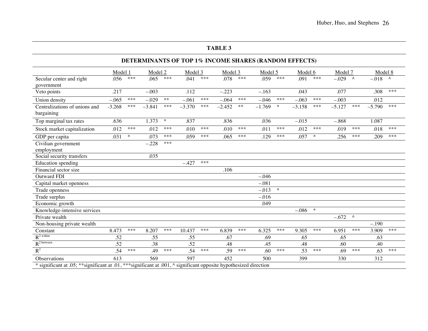# **TABLE 3**

# **DETERMINANTS OF TOP 1% INCOME SHARES (RANDOM EFFECTS)**

|                                                                                                                     | Model 1  |        | Model 2  |        | Model 3  |       | Model 3  |            |          | Model 5 |          | Model 6 | Model 7  |           | Model 8  |           |
|---------------------------------------------------------------------------------------------------------------------|----------|--------|----------|--------|----------|-------|----------|------------|----------|---------|----------|---------|----------|-----------|----------|-----------|
| Secular center and right                                                                                            | .056     | ***    | .065     | ***    | .041     | ***   | .078     | ***        | .059     | ***     | .091     | ***     | $-.029$  | $\Lambda$ | $-.018$  | $\Lambda$ |
| government                                                                                                          |          |        |          |        |          |       |          |            |          |         |          |         |          |           |          |           |
| Veto points                                                                                                         | .217     |        | $-.003$  |        | .112     |       | $-.223$  |            | $-.163$  |         | .043     |         | .077     |           | .308     | ***       |
| Union density                                                                                                       | $-.065$  | ***    | $-.029$  | $***$  | $-.061$  | ***   | $-.064$  | ***        | $-.046$  | $***$   | $-.063$  | ***     | $-.003$  |           | .012     |           |
| Centralizations of unions and                                                                                       | $-3.268$ | $***$  | $-3.841$ | $***$  | $-3.370$ | $***$ | $-2.452$ | $\ast\ast$ | $-1.769$ | $\ast$  | $-3.158$ | $***$   | $-5.127$ | $***$     | $-5.790$ | ***       |
| bargaining                                                                                                          |          |        |          |        |          |       |          |            |          |         |          |         |          |           |          |           |
| Top marginal tax rates                                                                                              | .636     |        | 1.373    | $\ast$ | .837     |       | .836     |            | .036     |         | $-.015$  |         | $-.868$  |           | 1.087    |           |
| Stock market capitalization                                                                                         | .012     | ***    | .012     | $***$  | .010     | ***   | .010     | ***        | .011     | ***     | .012     | ***     | .019     | ***       | .018     | ***       |
| GDP per capita                                                                                                      | .031     | $\ast$ | .073     | ***    | .059     | ***   | .065     | ***        | .129     | ***     | .057     | $\ast$  | .256     | ***       | .209     | ***       |
| Civilian government                                                                                                 |          |        | $-.228$  | ***    |          |       |          |            |          |         |          |         |          |           |          |           |
| employment                                                                                                          |          |        |          |        |          |       |          |            |          |         |          |         |          |           |          |           |
| Social security transfers                                                                                           |          |        | .035     |        |          |       |          |            |          |         |          |         |          |           |          |           |
| Education spending                                                                                                  |          |        |          |        | $-.427$  | ***   |          |            |          |         |          |         |          |           |          |           |
| Financial sector size                                                                                               |          |        |          |        |          |       | .106     |            |          |         |          |         |          |           |          |           |
| <b>Outward FDI</b>                                                                                                  |          |        |          |        |          |       |          |            | $-.046$  |         |          |         |          |           |          |           |
| Capital market openness                                                                                             |          |        |          |        |          |       |          |            | $-.081$  |         |          |         |          |           |          |           |
| Trade openness                                                                                                      |          |        |          |        |          |       |          |            | $-.013$  | $\ast$  |          |         |          |           |          |           |
| Trade surplus                                                                                                       |          |        |          |        |          |       |          |            | $-.016$  |         |          |         |          |           |          |           |
| Economic growth                                                                                                     |          |        |          |        |          |       |          |            | .049     |         |          |         |          |           |          |           |
| Knowledge-intensive services                                                                                        |          |        |          |        |          |       |          |            |          |         | $-.086$  | $\ast$  |          |           |          |           |
| Private wealth                                                                                                      |          |        |          |        |          |       |          |            |          |         |          |         | $-.672$  | $\Lambda$ |          |           |
| Non-housing private wealth                                                                                          |          |        |          |        |          |       |          |            |          |         |          |         |          |           | $-.190$  |           |
| Constant                                                                                                            | 8.473    | ***    | 8.207    | ***    | 10.437   | ***   | 6.839    | ***        | 6.325    | ***     | 9.305    | ***     | 6.951    | ***       | 3.909    | ***       |
| $R^2$ within                                                                                                        | .52      |        | .55      |        | .55      |       | .67      |            | .69      |         | .65      |         | .65      |           | .63      |           |
| $R^2$ between                                                                                                       | .52      |        | .38      |        | .52      |       | .48      |            | .45      |         | .48      |         | .60      |           | .40      |           |
| $R^2$                                                                                                               | .54      | ***    | .49      | ***    | .54      | ***   | .59      | ***        | .60      | ***     | .53      | $***$   | .69      | ***       | .63      | ***       |
| Observations                                                                                                        | 613      |        | 569      |        | 597      |       | 452      |            | 500      |         | 399      |         | 330      |           | 312      |           |
| * significant at .05; ** significant at .01, *** significant at .001, ^ significant opposite hypothesized direction |          |        |          |        |          |       |          |            |          |         |          |         |          |           |          |           |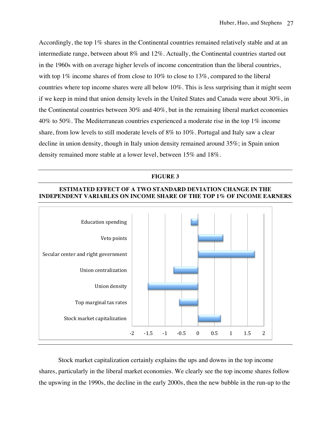Accordingly, the top 1% shares in the Continental countries remained relatively stable and at an intermediate range, between about 8% and 12%. Actually, the Continental countries started out in the 1960s with on average higher levels of income concentration than the liberal countries, with top 1% income shares of from close to 10% to close to 13%, compared to the liberal countries where top income shares were all below 10%. This is less surprising than it might seem if we keep in mind that union density levels in the United States and Canada were about 30%, in the Continental countries between 30% and 40%, but in the remaining liberal market economies 40% to 50%. The Mediterranean countries experienced a moderate rise in the top 1% income share, from low levels to still moderate levels of 8% to 10%. Portugal and Italy saw a clear decline in union density, though in Italy union density remained around 35%; in Spain union density remained more stable at a lower level, between 15% and 18%.

#### **FIGURE 3**

#### **ESTIMATED EFFECT OF A TWO STANDARD DEVIATION CHANGE IN THE INDEPENDENT VARIABLES ON INCOME SHARE OF THE TOP 1% OF INCOME EARNERS**



Stock market capitalization certainly explains the ups and downs in the top income shares, particularly in the liberal market economies. We clearly see the top income shares follow the upswing in the 1990s, the decline in the early 2000s, then the new bubble in the run-up to the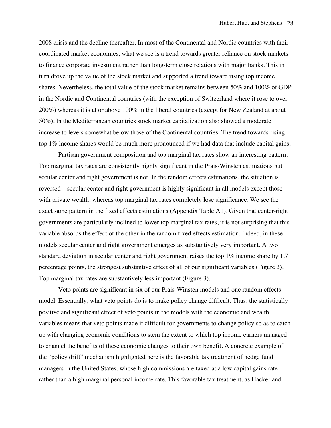2008 crisis and the decline thereafter. In most of the Continental and Nordic countries with their coordinated market economies, what we see is a trend towards greater reliance on stock markets to finance corporate investment rather than long-term close relations with major banks. This in turn drove up the value of the stock market and supported a trend toward rising top income shares. Nevertheless, the total value of the stock market remains between 50% and 100% of GDP in the Nordic and Continental countries (with the exception of Switzerland where it rose to over 200%) whereas it is at or above 100% in the liberal countries (except for New Zealand at about 50%). In the Mediterranean countries stock market capitalization also showed a moderate increase to levels somewhat below those of the Continental countries. The trend towards rising top 1% income shares would be much more pronounced if we had data that include capital gains.

Partisan government composition and top marginal tax rates show an interesting pattern. Top marginal tax rates are consistently highly significant in the Prais-Winsten estimations but secular center and right government is not. In the random effects estimations, the situation is reversed—secular center and right government is highly significant in all models except those with private wealth, whereas top marginal tax rates completely lose significance. We see the exact same pattern in the fixed effects estimations (Appendix Table A1). Given that center-right governments are particularly inclined to lower top marginal tax rates, it is not surprising that this variable absorbs the effect of the other in the random fixed effects estimation. Indeed, in these models secular center and right government emerges as substantively very important. A two standard deviation in secular center and right government raises the top 1% income share by 1.7 percentage points, the strongest substantive effect of all of our significant variables (Figure 3). Top marginal tax rates are substantively less important (Figure 3).

Veto points are significant in six of our Prais-Winsten models and one random effects model. Essentially, what veto points do is to make policy change difficult. Thus, the statistically positive and significant effect of veto points in the models with the economic and wealth variables means that veto points made it difficult for governments to change policy so as to catch up with changing economic conditions to stem the extent to which top income earners managed to channel the benefits of these economic changes to their own benefit. A concrete example of the "policy drift" mechanism highlighted here is the favorable tax treatment of hedge fund managers in the United States, whose high commissions are taxed at a low capital gains rate rather than a high marginal personal income rate. This favorable tax treatment, as Hacker and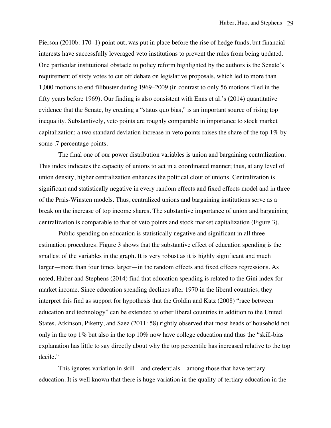Pierson (2010b: 170–1) point out, was put in place before the rise of hedge funds, but financial interests have successfully leveraged veto institutions to prevent the rules from being updated. One particular institutional obstacle to policy reform highlighted by the authors is the Senate's requirement of sixty votes to cut off debate on legislative proposals, which led to more than 1,000 motions to end filibuster during 1969–2009 (in contrast to only 56 motions filed in the fifty years before 1969). Our finding is also consistent with Enns et al.'s (2014) quantitative evidence that the Senate, by creating a "status quo bias," is an important source of rising top inequality. Substantively, veto points are roughly comparable in importance to stock market capitalization; a two standard deviation increase in veto points raises the share of the top 1% by some .7 percentage points.

The final one of our power distribution variables is union and bargaining centralization. This index indicates the capacity of unions to act in a coordinated manner; thus, at any level of union density, higher centralization enhances the political clout of unions. Centralization is significant and statistically negative in every random effects and fixed effects model and in three of the Prais-Winsten models. Thus, centralized unions and bargaining institutions serve as a break on the increase of top income shares. The substantive importance of union and bargaining centralization is comparable to that of veto points and stock market capitalization (Figure 3).

Public spending on education is statistically negative and significant in all three estimation procedures. Figure 3 shows that the substantive effect of education spending is the smallest of the variables in the graph. It is very robust as it is highly significant and much larger—more than four times larger—in the random effects and fixed effects regressions. As noted, Huber and Stephens (2014) find that education spending is related to the Gini index for market income. Since education spending declines after 1970 in the liberal countries, they interpret this find as support for hypothesis that the Goldin and Katz (2008) "race between education and technology" can be extended to other liberal countries in addition to the United States. Atkinson, Piketty, and Saez (2011: 58) rightly observed that most heads of household not only in the top 1% but also in the top 10% now have college education and thus the "skill-bias explanation has little to say directly about why the top percentile has increased relative to the top decile."

This ignores variation in skill—and credentials—among those that have tertiary education. It is well known that there is huge variation in the quality of tertiary education in the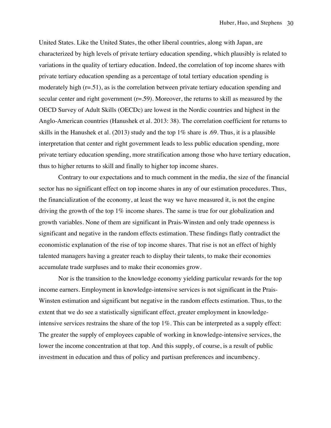United States. Like the United States, the other liberal countries, along with Japan, are characterized by high levels of private tertiary education spending, which plausibly is related to variations in the quality of tertiary education. Indeed, the correlation of top income shares with private tertiary education spending as a percentage of total tertiary education spending is moderately high (r=.51), as is the correlation between private tertiary education spending and secular center and right government (r=.59). Moreover, the returns to skill as measured by the OECD Survey of Adult Skills (OECDc) are lowest in the Nordic countries and highest in the Anglo-American countries (Hanushek et al. 2013: 38). The correlation coefficient for returns to skills in the Hanushek et al. (2013) study and the top 1% share is .69. Thus, it is a plausible interpretation that center and right government leads to less public education spending, more private tertiary education spending, more stratification among those who have tertiary education, thus to higher returns to skill and finally to higher top income shares.

Contrary to our expectations and to much comment in the media, the size of the financial sector has no significant effect on top income shares in any of our estimation procedures. Thus, the financialization of the economy, at least the way we have measured it, is not the engine driving the growth of the top 1% income shares. The same is true for our globalization and growth variables. None of them are significant in Prais-Winsten and only trade openness is significant and negative in the random effects estimation. These findings flatly contradict the economistic explanation of the rise of top income shares. That rise is not an effect of highly talented managers having a greater reach to display their talents, to make their economies accumulate trade surpluses and to make their economies grow.

Nor is the transition to the knowledge economy yielding particular rewards for the top income earners. Employment in knowledge-intensive services is not significant in the Prais-Winsten estimation and significant but negative in the random effects estimation. Thus, to the extent that we do see a statistically significant effect, greater employment in knowledgeintensive services restrains the share of the top 1%. This can be interpreted as a supply effect: The greater the supply of employees capable of working in knowledge-intensive services, the lower the income concentration at that top. And this supply, of course, is a result of public investment in education and thus of policy and partisan preferences and incumbency.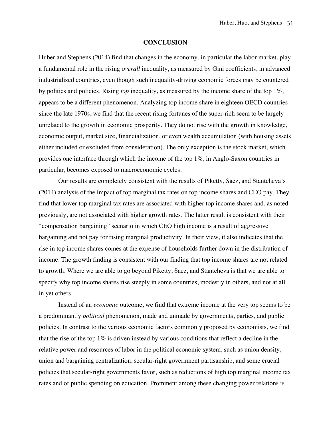#### **CONCLUSION**

Huber and Stephens (2014) find that changes in the economy, in particular the labor market, play a fundamental role in the rising *overall* inequality, as measured by Gini coefficients, in advanced industrialized countries, even though such inequality-driving economic forces may be countered by politics and policies. Rising *top* inequality, as measured by the income share of the top 1%, appears to be a different phenomenon. Analyzing top income share in eighteen OECD countries since the late 1970s, we find that the recent rising fortunes of the super-rich seem to be largely unrelated to the growth in economic prosperity. They do not rise with the growth in knowledge, economic output, market size, financialization, or even wealth accumulation (with housing assets either included or excluded from consideration). The only exception is the stock market, which provides one interface through which the income of the top 1%, in Anglo-Saxon countries in particular, becomes exposed to macroeconomic cycles.

Our results are completely consistent with the results of Piketty, Saez, and Stantcheva's (2014) analysis of the impact of top marginal tax rates on top income shares and CEO pay. They find that lower top marginal tax rates are associated with higher top income shares and, as noted previously, are not associated with higher growth rates. The latter result is consistent with their "compensation bargaining" scenario in which CEO high income is a result of aggressive bargaining and not pay for rising marginal productivity. In their view, it also indicates that the rise in top income shares comes at the expense of households further down in the distribution of income. The growth finding is consistent with our finding that top income shares are not related to growth. Where we are able to go beyond Piketty, Saez, and Stantcheva is that we are able to specify why top income shares rise steeply in some countries, modestly in others, and not at all in yet others.

Instead of an *economic* outcome, we find that extreme income at the very top seems to be a predominantly *political* phenomenon, made and unmade by governments, parties, and public policies. In contrast to the various economic factors commonly proposed by economists, we find that the rise of the top 1% is driven instead by various conditions that reflect a decline in the relative power and resources of labor in the political economic system, such as union density, union and bargaining centralization, secular-right government partisanship, and some crucial policies that secular-right governments favor, such as reductions of high top marginal income tax rates and of public spending on education. Prominent among these changing power relations is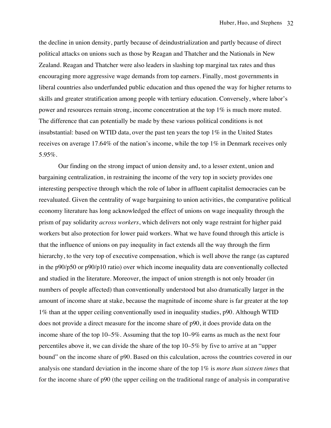the decline in union density, partly because of deindustrialization and partly because of direct political attacks on unions such as those by Reagan and Thatcher and the Nationals in New Zealand. Reagan and Thatcher were also leaders in slashing top marginal tax rates and thus encouraging more aggressive wage demands from top earners. Finally, most governments in liberal countries also underfunded public education and thus opened the way for higher returns to skills and greater stratification among people with tertiary education. Conversely, where labor's power and resources remain strong, income concentration at the top 1% is much more muted. The difference that can potentially be made by these various political conditions is not insubstantial: based on WTID data, over the past ten years the top  $1\%$  in the United States receives on average 17.64% of the nation's income, while the top 1% in Denmark receives only 5.95%.

Our finding on the strong impact of union density and, to a lesser extent, union and bargaining centralization, in restraining the income of the very top in society provides one interesting perspective through which the role of labor in affluent capitalist democracies can be reevaluated. Given the centrality of wage bargaining to union activities, the comparative political economy literature has long acknowledged the effect of unions on wage inequality through the prism of pay solidarity *across workers*, which delivers not only wage restraint for higher paid workers but also protection for lower paid workers. What we have found through this article is that the influence of unions on pay inequality in fact extends all the way through the firm hierarchy, to the very top of executive compensation, which is well above the range (as captured in the p90/p50 or p90/p10 ratio) over which income inequality data are conventionally collected and studied in the literature. Moreover, the impact of union strength is not only broader (in numbers of people affected) than conventionally understood but also dramatically larger in the amount of income share at stake, because the magnitude of income share is far greater at the top 1% than at the upper ceiling conventionally used in inequality studies, p90. Although WTID does not provide a direct measure for the income share of p90, it does provide data on the income share of the top 10–5%. Assuming that the top 10–9% earns as much as the next four percentiles above it, we can divide the share of the top 10–5% by five to arrive at an "upper bound" on the income share of p90. Based on this calculation, across the countries covered in our analysis one standard deviation in the income share of the top 1% is *more than sixteen times* that for the income share of p90 (the upper ceiling on the traditional range of analysis in comparative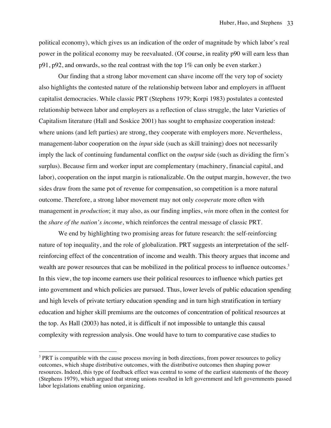political economy), which gives us an indication of the order of magnitude by which labor's real power in the political economy may be reevaluated. (Of course, in reality p90 will earn less than p91, p92, and onwards, so the real contrast with the top 1% can only be even starker.)

Our finding that a strong labor movement can shave income off the very top of society also highlights the contested nature of the relationship between labor and employers in affluent capitalist democracies. While classic PRT (Stephens 1979; Korpi 1983) postulates a contested relationship between labor and employers as a reflection of class struggle, the later Varieties of Capitalism literature (Hall and Soskice 2001) has sought to emphasize cooperation instead: where unions (and left parties) are strong, they cooperate with employers more. Nevertheless, management-labor cooperation on the *input* side (such as skill training) does not necessarily imply the lack of continuing fundamental conflict on the *output* side (such as dividing the firm's surplus). Because firm and worker input are complementary (machinery, financial capital, and labor), cooperation on the input margin is rationalizable. On the output margin, however, the two sides draw from the same pot of revenue for compensation, so competition is a more natural outcome. Therefore, a strong labor movement may not only *cooperate* more often with management in *production*; it may also, as our finding implies, *win* more often in the contest for the *share of the nation's income*, which reinforces the central message of classic PRT.

We end by highlighting two promising areas for future research: the self-reinforcing nature of top inequality, and the role of globalization. PRT suggests an interpretation of the selfreinforcing effect of the concentration of income and wealth. This theory argues that income and wealth are power resources that can be mobilized in the political process to influence outcomes.<sup>3</sup> In this view, the top income earners use their political resources to influence which parties get into government and which policies are pursued. Thus, lower levels of public education spending and high levels of private tertiary education spending and in turn high stratification in tertiary education and higher skill premiums are the outcomes of concentration of political resources at the top. As Hall (2003) has noted, it is difficult if not impossible to untangle this causal complexity with regression analysis. One would have to turn to comparative case studies to

1

 $3$  PRT is compatible with the cause process moving in both directions, from power resources to policy outcomes, which shape distributive outcomes, with the distributive outcomes then shaping power resources. Indeed, this type of feedback effect was central to some of the earliest statements of the theory (Stephens 1979), which argued that strong unions resulted in left government and left governments passed labor legislations enabling union organizing.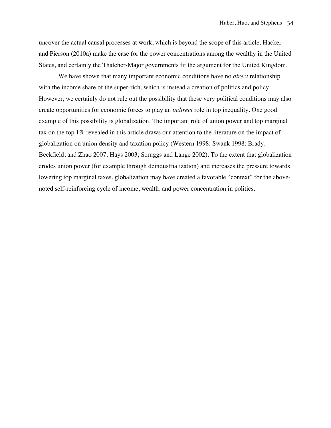uncover the actual causal processes at work, which is beyond the scope of this article. Hacker and Pierson (2010a) make the case for the power concentrations among the wealthy in the United States, and certainly the Thatcher-Major governments fit the argument for the United Kingdom.

We have shown that many important economic conditions have no *direct* relationship with the income share of the super-rich, which is instead a creation of politics and policy. However, we certainly do not rule out the possibility that these very political conditions may also create opportunities for economic forces to play an *indirect* role in top inequality. One good example of this possibility is globalization. The important role of union power and top marginal tax on the top 1% revealed in this article draws our attention to the literature on the impact of globalization on union density and taxation policy (Western 1998; Swank 1998; Brady, Beckfield, and Zhao 2007; Hays 2003; Scruggs and Lange 2002). To the extent that globalization erodes union power (for example through deindustrialization) and increases the pressure towards lowering top marginal taxes, globalization may have created a favorable "context" for the abovenoted self-reinforcing cycle of income, wealth, and power concentration in politics.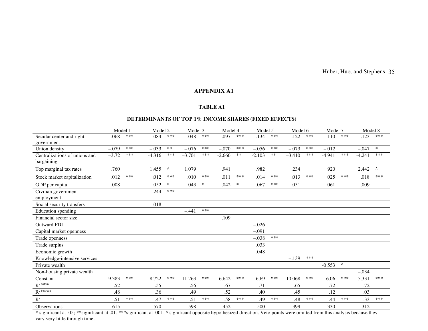Huber, Huo, and Stephens 35

# **APPENDIX A1**

#### **TABLE A1**

# **DETERMINANTS OF TOP 1% INCOME SHARES (FIXED EFFECTS)**

|                                                                                                                                                                                            | Model 1 |       |          | Model 2 |          | Model 3 |          | Model 4    |          | Model 5    |          | Model 6 |          | Model 7 | Model 8  |          |
|--------------------------------------------------------------------------------------------------------------------------------------------------------------------------------------------|---------|-------|----------|---------|----------|---------|----------|------------|----------|------------|----------|---------|----------|---------|----------|----------|
| Secular center and right<br>government                                                                                                                                                     | .068    | $***$ | .084     | ***     | .048     | $***$   | .097     | ***        | .134     | ***        | .122     | $***$   | .110     | $***$   | .123     | ***      |
| Union density                                                                                                                                                                              | $-.079$ | $***$ | $-.033$  | $**$    | $-.076$  | $***$   | $-.070$  | $***$      | $-.056$  | $***$      | $-.073$  | $***$   | $-0.012$ |         | $-.047$  | $\ast$   |
| Centralizations of unions and<br>bargaining                                                                                                                                                | $-3.72$ | $***$ | $-4.316$ | $***$   | $-3.701$ | $***$   | $-2.660$ | $\ast\ast$ | $-2.103$ | $\ast\ast$ | $-3.410$ | ***     | $-4.941$ | ***     | $-4.241$ | $***$    |
| Top marginal tax rates                                                                                                                                                                     | .760    |       | 1.455    | Λ       | 1.079    |         | .941     |            | .982     |            | .234     |         | .920     |         | 2.442    | $\wedge$ |
| Stock market capitalization                                                                                                                                                                | .012    | $***$ | .012     | $***$   | .010     | $***$   | .011     | $***$      | .014     | $***$      | .013     | $***$   | .025     | $***$   | .018     | $***$    |
| GDP per capita                                                                                                                                                                             | .008    |       | .052     | $\ast$  | .043     | $\ast$  | .042     | $\ast$     | .067     | $***$      | .051     |         | .061     |         | .009     |          |
| Civilian government<br>employment                                                                                                                                                          |         |       | $-.244$  | ***     |          |         |          |            |          |            |          |         |          |         |          |          |
| Social security transfers                                                                                                                                                                  |         |       | .018     |         |          |         |          |            |          |            |          |         |          |         |          |          |
| Education spending                                                                                                                                                                         |         |       |          |         | $-.441$  | ***     |          |            |          |            |          |         |          |         |          |          |
| Financial sector size                                                                                                                                                                      |         |       |          |         |          |         | .109     |            |          |            |          |         |          |         |          |          |
| <b>Outward FDI</b>                                                                                                                                                                         |         |       |          |         |          |         |          |            | $-.026$  |            |          |         |          |         |          |          |
| Capital market openness                                                                                                                                                                    |         |       |          |         |          |         |          |            | $-.091$  |            |          |         |          |         |          |          |
| Trade openness                                                                                                                                                                             |         |       |          |         |          |         |          |            | $-.038$  | $***$      |          |         |          |         |          |          |
| Trade surplus                                                                                                                                                                              |         |       |          |         |          |         |          |            | .033     |            |          |         |          |         |          |          |
| Economic growth                                                                                                                                                                            |         |       |          |         |          |         |          |            | .048     |            |          |         |          |         |          |          |
| Knowledge-intensive services                                                                                                                                                               |         |       |          |         |          |         |          |            |          |            | $-.139$  | ***     |          |         |          |          |
| Private wealth                                                                                                                                                                             |         |       |          |         |          |         |          |            |          |            |          |         | $-0.553$ | Λ       |          |          |
| Non-housing private wealth                                                                                                                                                                 |         |       |          |         |          |         |          |            |          |            |          |         |          |         | $-.034$  |          |
| Constant                                                                                                                                                                                   | 9.383   | $***$ | 8.722    | $***$   | 11.263   | $***$   | 6.642    | $***$      | 6.69     | $***$      | 10.068   | $***$   | 6.06     | $***$   | 5.331    | ***      |
| $R^2$ within                                                                                                                                                                               | .52     |       | .55      |         | .56      |         | .67      |            | .71      |            | .65      |         | .72      |         | .72      |          |
| $R^2$ between                                                                                                                                                                              | .48     |       | .36      |         | .49      |         | .52      |            | .40      |            | .45      |         | .12      |         | .03      |          |
| $R^2$                                                                                                                                                                                      | .51     | $***$ | .47      | ***     | .51      | $***$   | .58      | $***$      | .49      | ***        | .48      | $***$   | .44      | $***$   | .33      | ***      |
| Observations<br>* cignificant at 05, **cignificant at 01, ***cignificant at 001, A cignificant apparents hypothesized direction. Vete points were applited from this applying because they | 615     |       | 570      |         | 598      |         | 452      |            | 500      |            | 399      |         | 330      |         | 312      |          |

\* significant at .05; \*\*significant at .01, \*\*\*significant at .001, ^ significant opposite hypothesized direction. Veto points were omitted from this analysis because they vary very little through time.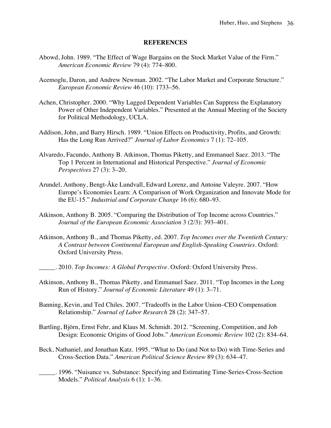## **REFERENCES**

- Abowd, John. 1989. "The Effect of Wage Bargains on the Stock Market Value of the Firm." *American Economic Review* 79 (4): 774–800.
- Acemoglu, Daron, and Andrew Newman. 2002. "The Labor Market and Corporate Structure." *European Economic Review* 46 (10): 1733–56.
- Achen, Christopher. 2000. "Why Lagged Dependent Variables Can Suppress the Explanatory Power of Other Independent Variables." Presented at the Annual Meeting of the Society for Political Methodology, UCLA.
- Addison, John, and Barry Hirsch. 1989. "Union Effects on Productivity, Profits, and Growth: Has the Long Run Arrived?" *Journal of Labor Economics* 7 (1): 72–105.
- Alvaredo, Facundo, Anthony B. Atkinson, Thomas Piketty, and Emmanuel Saez. 2013. "The Top 1 Percent in International and Historical Perspective." *Journal of Economic Perspectives* 27 (3): 3–20.
- Arundel, Anthony, Bengt-Åke Lundvall, Edward Lorenz, and Antoine Valeyre. 2007. "How Europe's Economies Learn: A Comparison of Work Organization and Innovate Mode for the EU-15." *Industrial and Corporate Change* 16 (6): 680–93.
- Atkinson, Anthony B. 2005. "Comparing the Distribution of Top Income across Countries." *Journal of the European Economic Association* 3 (2/3): 393–401.
- Atkinson, Anthony B., and Thomas Piketty, ed. 2007. *Top Incomes over the Twentieth Century: A Contrast between Continental European and English-Speaking Countries*. Oxford: Oxford University Press.
- \_\_\_\_\_. 2010. *Top Incomes: A Global Perspective*. Oxford: Oxford University Press.
- Atkinson, Anthony B., Thomas Piketty, and Emmanuel Saez. 2011. "Top Incomes in the Long Run of History." *Journal of Economic Literature* 49 (1): 3–71.
- Banning, Kevin, and Ted Chiles. 2007. "Tradeoffs in the Labor Union–CEO Compensation Relationship." *Journal of Labor Research* 28 (2): 347–57.
- Bartling, Björn, Ernst Fehr, and Klaus M. Schmidt. 2012. "Screening, Competition, and Job Design: Economic Origins of Good Jobs." *American Economic Review* 102 (2): 834–64.
- Beck, Nathaniel, and Jonathan Katz. 1995. "What to Do (and Not to Do) with Time-Series and Cross-Section Data." *American Political Science Review* 89 (3): 634–47.
	- \_\_\_\_\_. 1996. "Nuisance vs. Substance: Specifying and Estimating Time-Series-Cross-Section Models." *Political Analysis* 6 (1): 1–36.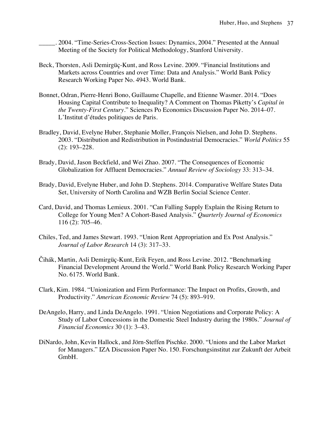\_\_\_\_\_. 2004. "Time-Series-Cross-Section Issues: Dynamics, 2004." Presented at the Annual Meeting of the Society for Political Methodology, Stanford University.

- Beck, Thorsten, Asli Demirgüç-Kunt, and Ross Levine. 2009. "Financial Institutions and Markets across Countries and over Time: Data and Analysis." World Bank Policy Research Working Paper No. 4943. World Bank.
- Bonnet, Odran, Pierre-Henri Bono, Guillaume Chapelle, and Etienne Wasmer. 2014. "Does Housing Capital Contribute to Inequality? A Comment on Thomas Piketty's *Capital in the Twenty-First Century*." Sciences Po Economics Discussion Paper No. 2014–07. L'Institut d'études politiques de Paris.
- Bradley, David, Evelyne Huber, Stephanie Moller, François Nielsen, and John D. Stephens. 2003. "Distribution and Redistribution in Postindustrial Democracies." *World Politics* 55 (2): 193–228.
- Brady, David, Jason Beckfield, and Wei Zhao. 2007. "The Consequences of Economic Globalization for Affluent Democracies." *Annual Review of Sociology* 33: 313–34.
- Brady, David, Evelyne Huber, and John D. Stephens. 2014. Comparative Welfare States Data Set, University of North Carolina and WZB Berlin Social Science Center.
- Card, David, and Thomas Lemieux. 2001. "Can Falling Supply Explain the Rising Return to College for Young Men? A Cohort-Based Analysis." *Quarterly Journal of Economics* 116 (2): 705–46.
- Chiles, Ted, and James Stewart. 1993. "Union Rent Appropriation and Ex Post Analysis." *Journal of Labor Research* 14 (3): 317–33.
- Čihák, Martin, Asli Demirgüç-Kunt, Erik Feyen, and Ross Levine. 2012. "Benchmarking Financial Development Around the World." World Bank Policy Research Working Paper No. 6175. World Bank.
- Clark, Kim. 1984. "Unionization and Firm Performance: The Impact on Profits, Growth, and Productivity." *American Economic Review* 74 (5): 893–919.
- DeAngelo, Harry, and Linda DeAngelo. 1991. "Union Negotiations and Corporate Policy: A Study of Labor Concessions in the Domestic Steel Industry during the 1980s." *Journal of Financial Economics* 30 (1): 3–43.
- DiNardo, John, Kevin Hallock, and Jörn-Steffen Pischke. 2000. "Unions and the Labor Market for Managers." IZA Discussion Paper No. 150. Forschungsinstitut zur Zukunft der Arbeit GmbH.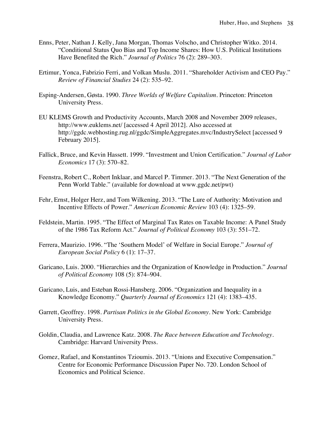- Enns, Peter, Nathan J. Kelly, Jana Morgan, Thomas Volscho, and Christopher Witko. 2014. "Conditional Status Quo Bias and Top Income Shares: How U.S. Political Institutions Have Benefited the Rich." *Journal of Politics* 76 (2): 289–303.
- Ertimur, Yonca, Fabrizio Ferri, and Volkan Muslu. 2011. "Shareholder Activism and CEO Pay." *Review of Financial Studies* 24 (2): 535–92.
- Esping-Andersen, Gøsta. 1990. *Three Worlds of Welfare Capitalism*. Princeton: Princeton University Press.
- EU KLEMS Growth and Productivity Accounts, March 2008 and November 2009 releases, http://www.euklems.net/ [accessed 4 April 2012]. Also accessed at http://ggdc.webhosting.rug.nl/ggdc/SimpleAggregates.mvc/IndustrySelect [accessed 9 February 2015].
- Fallick, Bruce, and Kevin Hassett. 1999. "Investment and Union Certification." *Journal of Labor Economics* 17 (3): 570–82.
- Feenstra, Robert C., Robert Inklaar, and Marcel P. Timmer. 2013. "The Next Generation of the Penn World Table." (available for download at www.ggdc.net/pwt)
- Fehr, Ernst, Holger Herz, and Tom Wilkening. 2013. "The Lure of Authority: Motivation and Incentive Effects of Power." *American Economic Review* 103 (4): 1325–59.
- Feldstein, Martin. 1995. "The Effect of Marginal Tax Rates on Taxable Income: A Panel Study of the 1986 Tax Reform Act." *Journal of Political Economy* 103 (3): 551–72.
- Ferrera, Maurizio. 1996. "The 'Southern Model' of Welfare in Social Europe." *Journal of European Social Policy* 6 (1): 17–37.
- Garicano, Luis. 2000. "Hierarchies and the Organization of Knowledge in Production." *Journal of Political Economy* 108 (5): 874–904.
- Garicano, Luis, and Esteban Rossi-Hansberg. 2006. "Organization and Inequality in a Knowledge Economy." *Quarterly Journal of Economics* 121 (4): 1383–435.
- Garrett, Geoffrey. 1998. *Partisan Politics in the Global Economy*. New York: Cambridge University Press.
- Goldin, Claudia, and Lawrence Katz. 2008. *The Race between Education and Technology*. Cambridge: Harvard University Press.
- Gomez, Rafael, and Konstantinos Tzioumis. 2013. "Unions and Executive Compensation." Centre for Economic Performance Discussion Paper No. 720. London School of Economics and Political Science.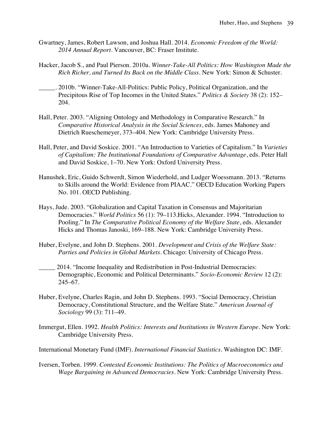- Gwartney, James, Robert Lawson, and Joshua Hall. 2014. *Economic Freedom of the World: 2014 Annual Report*. Vancouver, BC: Fraser Institute.
- Hacker, Jacob S., and Paul Pierson. 2010a. *Winner-Take-All Politics: How Washington Made the Rich Richer, and Turned Its Back on the Middle Class*. New York: Simon & Schuster.
- \_\_\_\_\_. 2010b. "Winner-Take-All-Politics: Public Policy, Political Organization, and the Precipitous Rise of Top Incomes in the United States." *Politics & Society* 38 (2): 152– 204.
- Hall, Peter. 2003. "Aligning Ontology and Methodology in Comparative Research." In *Comparative Historical Analysis in the Social Sciences*, eds. James Mahoney and Dietrich Rueschemeyer, 373–404. New York: Cambridge University Press.
- Hall, Peter, and David Soskice. 2001. "An Introduction to Varieties of Capitalism." In *Varieties of Capitalism: The Institutional Foundations of Comparative Advantage*, eds. Peter Hall and David Soskice, 1–70. New York: Oxford University Press.
- Hanushek, Eric, Guido Schwerdt, Simon Wiederhold, and Ludger Woessmann. 2013. "Returns to Skills around the World: Evidence from PIAAC." OECD Education Working Papers No. 101. OECD Publishing.
- Hays, Jude. 2003. "Globalization and Capital Taxation in Consensus and Majoritarian Democracies." *World Politics* 56 (1): 79–113.Hicks, Alexander. 1994. "Introduction to Pooling." In *The Comparative Political Economy of the Welfare State*, eds. Alexander Hicks and Thomas Janoski, 169–188. New York: Cambridge University Press.
- Huber, Evelyne, and John D. Stephens. 2001. *Development and Crisis of the Welfare State: Parties and Policies in Global Markets*. Chicago: University of Chicago Press.
- 2014. "Income Inequality and Redistribution in Post-Industrial Democracies: Demographic, Economic and Political Determinants." *Socio-Economic Review* 12 (2): 245–67.
- Huber, Evelyne, Charles Ragin, and John D. Stephens. 1993. "Social Democracy, Christian Democracy, Constitutional Structure, and the Welfare State." *American Journal of Sociology* 99 (3): 711–49.
- Immergut, Ellen. 1992. *Health Politics: Interests and Institutions in Western Europe*. New York: Cambridge University Press.

International Monetary Fund (IMF). *International Financial Statistics*. Washington DC: IMF.

Iversen, Torben. 1999. *Contested Economic Institutions: The Politics of Macroeconomics and Wage Bargaining in Advanced Democracies*. New York: Cambridge University Press.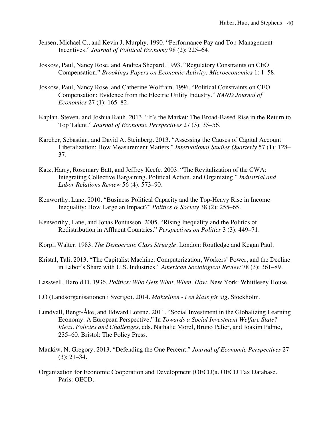- Jensen, Michael C., and Kevin J. Murphy. 1990. "Performance Pay and Top-Management Incentives." *Journal of Political Economy* 98 (2): 225–64.
- Joskow, Paul, Nancy Rose, and Andrea Shepard. 1993. "Regulatory Constraints on CEO Compensation." *Brookings Papers on Economic Activity: Microeconomics* 1: 1–58.
- Joskow, Paul, Nancy Rose, and Catherine Wolfram. 1996. "Political Constraints on CEO Compensation: Evidence from the Electric Utility Industry." *RAND Journal of Economics* 27 (1): 165–82.
- Kaplan, Steven, and Joshua Rauh. 2013. "It's the Market: The Broad-Based Rise in the Return to Top Talent." *Journal of Economic Perspectives* 27 (3): 35–56.
- Karcher, Sebastian, and David A. Steinberg. 2013. "Assessing the Causes of Capital Account Liberalization: How Measurement Matters." *International Studies Quarterly* 57 (1): 128– 37.
- Katz, Harry, Rosemary Batt, and Jeffrey Keefe. 2003. "The Revitalization of the CWA: Integrating Collective Bargaining, Political Action, and Organizing." *Industrial and Labor Relations Review* 56 (4): 573–90.
- Kenworthy, Lane. 2010. "Business Political Capacity and the Top-Heavy Rise in Income Inequality: How Large an Impact?" *Politics & Society* 38 (2): 255–65.
- Kenworthy, Lane, and Jonas Pontusson. 2005. "Rising Inequality and the Politics of Redistribution in Affluent Countries." *Perspectives on Politics* 3 (3): 449–71.
- Korpi, Walter. 1983. *The Democratic Class Struggle*. London: Routledge and Kegan Paul.
- Kristal, Tali. 2013. "The Capitalist Machine: Computerization, Workers' Power, and the Decline in Labor's Share with U.S. Industries." *American Sociological Review* 78 (3): 361–89.
- Lasswell, Harold D. 1936. *Politics: Who Gets What, When, How*. New York: Whittlesey House.
- LO (Landsorganisationen i Sverige). 2014. *Makteliten - i en klass för sig*. Stockholm.
- Lundvall, Bengt-Åke, and Edward Lorenz. 2011. "Social Investment in the Globalizing Learning Economy: A European Perspective." In *Towards a Social Investment Welfare State? Ideas, Policies and Challenges*, eds. Nathalie Morel, Bruno Palier, and Joakim Palme, 235–60. Bristol: The Policy Press.
- Mankiw, N. Gregory. 2013. "Defending the One Percent." *Journal of Economic Perspectives* 27 (3): 21–34.
- Organization for Economic Cooperation and Development (OECD)a. OECD Tax Database. Paris: OECD.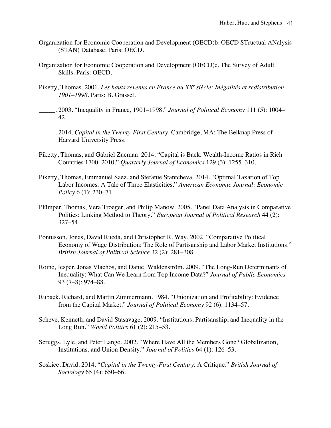- Organization for Economic Cooperation and Development (OECD)b. OECD STructual ANalysis (STAN) Database. Paris: OECD.
- Organization for Economic Cooperation and Development (OECD)c. The Survey of Adult Skills. Paris: OECD.
- Piketty, Thomas. 2001. *Les hauts revenus en France au XXe siècle: Inégalités et redistribution, 1901–1998*. Paris: B. Grasset.
- \_\_\_\_\_. 2003. "Inequality in France, 1901–1998." *Journal of Political Economy* 111 (5): 1004– 42.
- \_\_\_\_\_. 2014. *Capital in the Twenty-First Century*. Cambridge, MA: The Belknap Press of Harvard University Press.
- Piketty, Thomas, and Gabriel Zucman. 2014. "Capital is Back: Wealth-Income Ratios in Rich Countries 1700–2010." *Quarterly Journal of Economics* 129 (3): 1255–310.
- Piketty, Thomas, Emmanuel Saez, and Stefanie Stantcheva. 2014. "Optimal Taxation of Top Labor Incomes: A Tale of Three Elasticities." *American Economic Journal: Economic Policy* 6 (1): 230–71.
- Plümper, Thomas, Vera Troeger, and Philip Manow. 2005. "Panel Data Analysis in Comparative Politics: Linking Method to Theory." *European Journal of Political Research* 44 (2): 327–54.
- Pontusson, Jonas, David Rueda, and Christopher R. Way. 2002. "Comparative Political Economy of Wage Distribution: The Role of Partisanship and Labor Market Institutions." *British Journal of Political Science* 32 (2): 281–308.
- Roine, Jesper, Jonas Vlachos, and Daniel Waldenström. 2009. "The Long-Run Determinants of Inequality: What Can We Learn from Top Income Data?" *Journal of Public Economics* 93 (7–8): 974–88.
- Ruback, Richard, and Martin Zimmermann. 1984. "Unionization and Profitability: Evidence from the Capital Market." *Journal of Political Economy* 92 (6): 1134–57.
- Scheve, Kenneth, and David Stasavage. 2009. "Institutions, Partisanship, and Inequality in the Long Run." *World Politics* 61 (2): 215–53.
- Scruggs, Lyle, and Peter Lange. 2002. "Where Have All the Members Gone? Globalization, Institutions, and Union Density." *Journal of Politics* 64 (1): 126–53.
- Soskice, David. 2014. "*Capital in the Twenty-First Century*: A Critique." *British Journal of Sociology* 65 (4): 650–66.